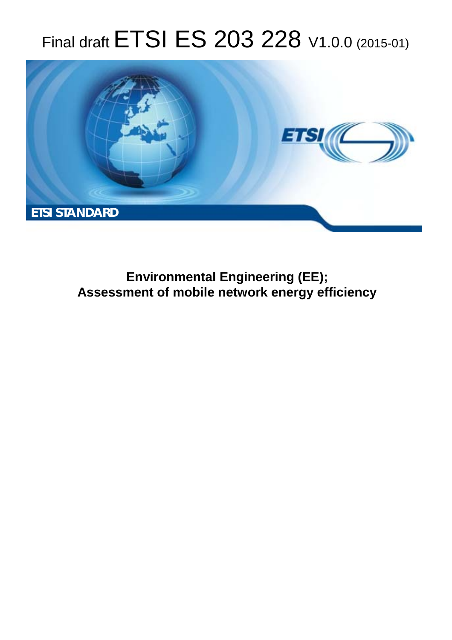# Final draft **ETSI ES 203 228** V1.0.0 (2015-01)



**Environmental Engineering (EE); Assessment of mobile network energy efficiency**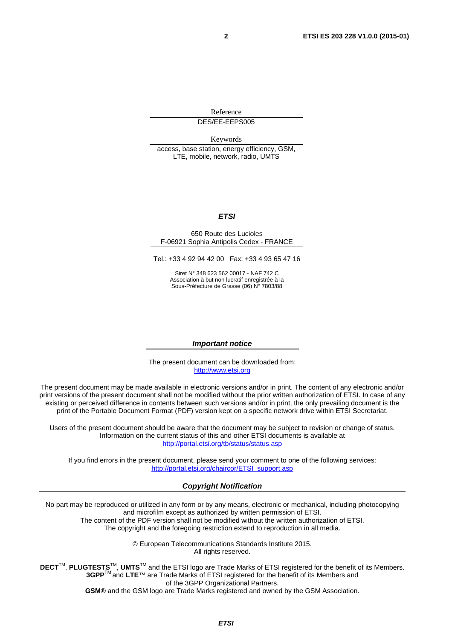Reference

DES/EE-EEPS005

Keywords

access, base station, energy efficiency, GSM, LTE, mobile, network, radio, UMTS

#### *ETSI*

#### 650 Route des Lucioles F-06921 Sophia Antipolis Cedex - FRANCE

Tel.: +33 4 92 94 42 00 Fax: +33 4 93 65 47 16

Siret N° 348 623 562 00017 - NAF 742 C Association à but non lucratif enregistrée à la Sous-Préfecture de Grasse (06) N° 7803/88

#### *Important notice*

The present document can be downloaded from: [http://www.etsi.org](http://www.etsi.org/)

The present document may be made available in electronic versions and/or in print. The content of any electronic and/or print versions of the present document shall not be modified without the prior written authorization of ETSI. In case of any existing or perceived difference in contents between such versions and/or in print, the only prevailing document is the print of the Portable Document Format (PDF) version kept on a specific network drive within ETSI Secretariat.

Users of the present document should be aware that the document may be subject to revision or change of status. Information on the current status of this and other ETSI documents is available at <http://portal.etsi.org/tb/status/status.asp>

If you find errors in the present document, please send your comment to one of the following services: [http://portal.etsi.org/chaircor/ETSI\\_support.asp](http://portal.etsi.org/chaircor/ETSI_support.asp)

#### *Copyright Notification*

No part may be reproduced or utilized in any form or by any means, electronic or mechanical, including photocopying and microfilm except as authorized by written permission of ETSI.

The content of the PDF version shall not be modified without the written authorization of ETSI. The copyright and the foregoing restriction extend to reproduction in all media.

> © European Telecommunications Standards Institute 2015. All rights reserved.

**DECT**TM, **PLUGTESTS**TM, **UMTS**TM and the ETSI logo are Trade Marks of ETSI registered for the benefit of its Members. **3GPP**TM and **LTE**™ are Trade Marks of ETSI registered for the benefit of its Members and of the 3GPP Organizational Partners.

**GSM**® and the GSM logo are Trade Marks registered and owned by the GSM Association.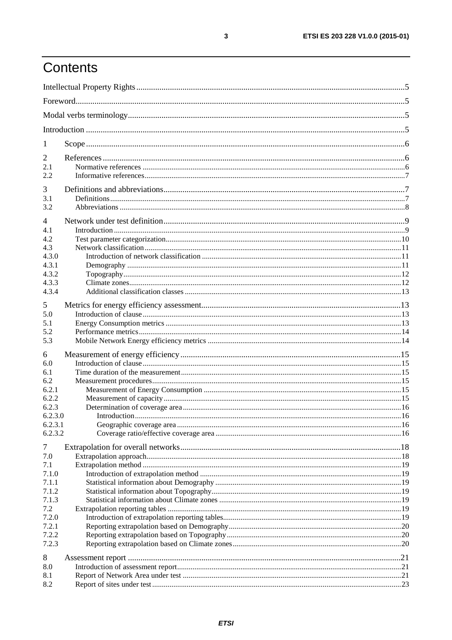## Contents

| $\mathbf{I}$ |  |  |  |
|--------------|--|--|--|
| 2            |  |  |  |
| 2.1          |  |  |  |
| 2.2          |  |  |  |
| 3            |  |  |  |
| 3.1          |  |  |  |
| 3.2          |  |  |  |
| 4            |  |  |  |
| 4.1          |  |  |  |
| 4.2          |  |  |  |
| 4.3          |  |  |  |
| 4.3.0        |  |  |  |
| 4.3.1        |  |  |  |
| 4.3.2        |  |  |  |
| 4.3.3        |  |  |  |
| 4.3.4        |  |  |  |
| 5            |  |  |  |
| 5.0          |  |  |  |
| 5.1          |  |  |  |
| 5.2          |  |  |  |
| 5.3          |  |  |  |
| 6            |  |  |  |
| 6.0          |  |  |  |
| 6.1          |  |  |  |
| 6.2          |  |  |  |
| 6.2.1        |  |  |  |
| 6.2.2        |  |  |  |
| 6.2.3        |  |  |  |
| 6.2.3.0      |  |  |  |
| 6.2.3.1      |  |  |  |
| 6.2.3.2      |  |  |  |
| 7            |  |  |  |
| 7.0          |  |  |  |
| 7.1          |  |  |  |
| 7.1.0        |  |  |  |
| 7.1.1        |  |  |  |
| 7.1.2        |  |  |  |
| 7.1.3        |  |  |  |
| 7.2          |  |  |  |
| 7.2.0        |  |  |  |
| 7.2.1        |  |  |  |
| 7.2.2        |  |  |  |
| 7.2.3        |  |  |  |
| 8            |  |  |  |
| 8.0          |  |  |  |
| 8.1          |  |  |  |
| 8.2          |  |  |  |
|              |  |  |  |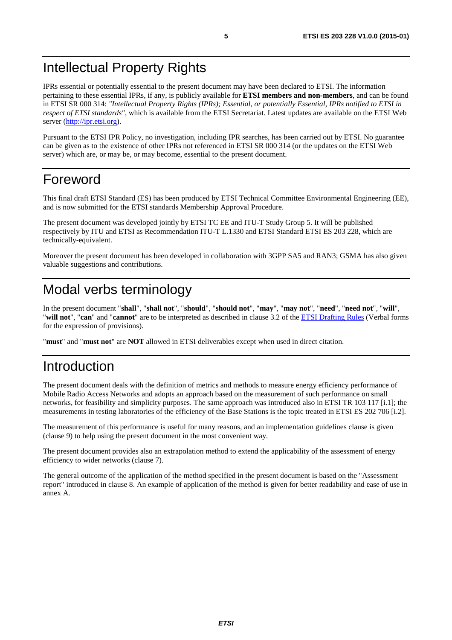## <span id="page-4-0"></span>Intellectual Property Rights

IPRs essential or potentially essential to the present document may have been declared to ETSI. The information pertaining to these essential IPRs, if any, is publicly available for **ETSI members and non-members**, and can be found in ETSI SR 000 314: *"Intellectual Property Rights (IPRs); Essential, or potentially Essential, IPRs notified to ETSI in respect of ETSI standards"*, which is available from the ETSI Secretariat. Latest updates are available on the ETSI Web server ([http://ipr.etsi.org\)](http://webapp.etsi.org/IPR/home.asp).

Pursuant to the ETSI IPR Policy, no investigation, including IPR searches, has been carried out by ETSI. No guarantee can be given as to the existence of other IPRs not referenced in ETSI SR 000 314 (or the updates on the ETSI Web server) which are, or may be, or may become, essential to the present document.

## Foreword

This final draft ETSI Standard (ES) has been produced by ETSI Technical Committee Environmental Engineering (EE), and is now submitted for the ETSI standards Membership Approval Procedure.

The present document was developed jointly by ETSI TC EE and ITU-T Study Group 5. It will be published respectively by ITU and ETSI as Recommendation ITU-T L.1330 and ETSI Standard ETSI ES 203 228, which are technically-equivalent.

Moreover the present document has been developed in collaboration with 3GPP SA5 and RAN3; GSMA has also given valuable suggestions and contributions.

## Modal verbs terminology

In the present document "**shall**", "**shall not**", "**should**", "**should not**", "**may**", "**may not**", "**need**", "**need not**", "**will**", "**will not**", "**can**" and "**cannot**" are to be interpreted as described in clause 3.2 of the [ETSI Drafting Rules](http://portal.etsi.org/Help/editHelp!/Howtostart/ETSIDraftingRules.aspx) (Verbal forms for the expression of provisions).

"**must**" and "**must not**" are **NOT** allowed in ETSI deliverables except when used in direct citation.

### Introduction

The present document deals with the definition of metrics and methods to measure energy efficiency performance of Mobile Radio Access Networks and adopts an approach based on the measurement of such performance on small networks, for feasibility and simplicity purposes. The same approach was introduced also in ETSI TR 103 117 [\[i.1](#page-6-0)]; the measurements in testing laboratories of the efficiency of the Base Stations is the topic treated in ETSI ES 202 706 [\[i.2](#page-6-0)].

The measurement of this performance is useful for many reasons, and an implementation guidelines clause is given (clause 9) to help using the present document in the most convenient way.

The present document provides also an extrapolation method to extend the applicability of the assessment of energy efficiency to wider networks (clause 7).

The general outcome of the application of the method specified in the present document is based on the "Assessment report" introduced in clause 8. An example of application of the method is given for better readability and ease of use in annex A.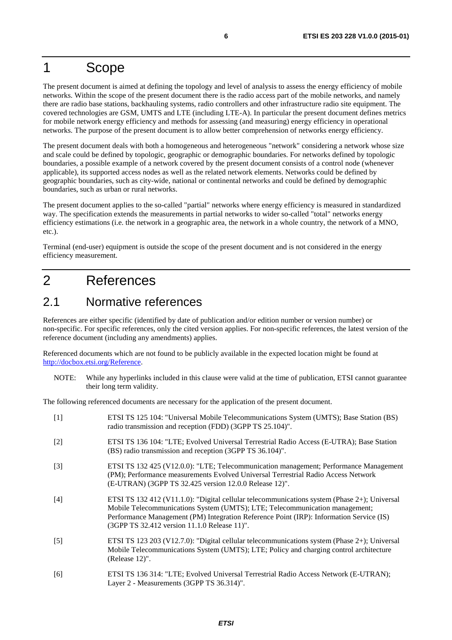### <span id="page-5-0"></span>1 Scope

The present document is aimed at defining the topology and level of analysis to assess the energy efficiency of mobile networks. Within the scope of the present document there is the radio access part of the mobile networks, and namely there are radio base stations, backhauling systems, radio controllers and other infrastructure radio site equipment. The covered technologies are GSM, UMTS and LTE (including LTE-A). In particular the present document defines metrics for mobile network energy efficiency and methods for assessing (and measuring) energy efficiency in operational networks. The purpose of the present document is to allow better comprehension of networks energy efficiency.

The present document deals with both a homogeneous and heterogeneous "network" considering a network whose size and scale could be defined by topologic, geographic or demographic boundaries. For networks defined by topologic boundaries, a possible example of a network covered by the present document consists of a control node (whenever applicable), its supported access nodes as well as the related network elements. Networks could be defined by geographic boundaries, such as city-wide, national or continental networks and could be defined by demographic boundaries, such as urban or rural networks.

The present document applies to the so-called "partial" networks where energy efficiency is measured in standardized way. The specification extends the measurements in partial networks to wider so-called "total" networks energy efficiency estimations (i.e. the network in a geographic area, the network in a whole country, the network of a MNO, etc.).

Terminal (end-user) equipment is outside the scope of the present document and is not considered in the energy efficiency measurement.

## 2 References

### 2.1 Normative references

References are either specific (identified by date of publication and/or edition number or version number) or non-specific. For specific references, only the cited version applies. For non-specific references, the latest version of the reference document (including any amendments) applies.

Referenced documents which are not found to be publicly available in the expected location might be found at [http://docbox.etsi.org/Reference.](http://docbox.etsi.org/Reference)

NOTE: While any hyperlinks included in this clause were valid at the time of publication, ETSI cannot guarantee their long term validity.

The following referenced documents are necessary for the application of the present document.

| $[1]$             | ETSI TS 125 104: "Universal Mobile Telecommunications System (UMTS); Base Station (BS)<br>radio transmission and reception (FDD) (3GPP TS 25.104)".                                                                                                                                                                    |
|-------------------|------------------------------------------------------------------------------------------------------------------------------------------------------------------------------------------------------------------------------------------------------------------------------------------------------------------------|
| $\lceil 2 \rceil$ | ETSI TS 136 104: "LTE; Evolved Universal Terrestrial Radio Access (E-UTRA); Base Station<br>(BS) radio transmission and reception (3GPP TS 36.104)".                                                                                                                                                                   |
| $[3]$             | ETSI TS 132 425 (V12.0.0): "LTE; Telecommunication management; Performance Management<br>(PM); Performance measurements Evolved Universal Terrestrial Radio Access Network<br>(E-UTRAN) (3GPP TS 32.425 version 12.0.0 Release 12)".                                                                                   |
| $[4]$             | ETSI TS 132 412 (V11.1.0): "Digital cellular telecommunications system (Phase 2+); Universal<br>Mobile Telecommunications System (UMTS); LTE; Telecommunication management;<br>Performance Management (PM) Integration Reference Point (IRP): Information Service (IS)<br>(3GPP TS 32.412 version 11.1.0 Release 11)". |
| $[5]$             | ETSI TS 123 203 (V12.7.0): "Digital cellular telecommunications system (Phase 2+); Universal<br>Mobile Telecommunications System (UMTS); LTE; Policy and charging control architecture<br>(Release 12)".                                                                                                               |
| [6]               | ETSI TS 136 314: "LTE; Evolved Universal Terrestrial Radio Access Network (E-UTRAN);<br>Layer 2 - Measurements (3GPP TS 36.314)".                                                                                                                                                                                      |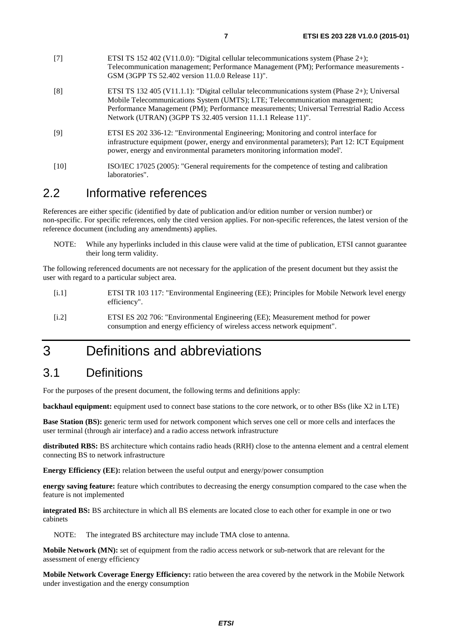<span id="page-6-0"></span>

| [7]    | ETSI TS 152 402 (V11.0.0): "Digital cellular telecommunications system (Phase 2+);<br>Telecommunication management; Performance Management (PM); Performance measurements -<br>GSM (3GPP TS 52.402 version 11.0.0 Release 11)".                                                                                                          |
|--------|------------------------------------------------------------------------------------------------------------------------------------------------------------------------------------------------------------------------------------------------------------------------------------------------------------------------------------------|
| [8]    | ETSI TS 132 405 (V11.1.1): "Digital cellular telecommunications system (Phase 2+); Universal<br>Mobile Telecommunications System (UMTS); LTE; Telecommunication management;<br>Performance Management (PM); Performance measurements; Universal Terrestrial Radio Access<br>Network (UTRAN) (3GPP TS 32.405 version 11.1.1 Release 11)". |
| [9]    | ETSI ES 202 336-12: "Environmental Engineering; Monitoring and control interface for<br>infrastructure equipment (power, energy and environmental parameters); Part 12: ICT Equipment<br>power, energy and environmental parameters monitoring information model'.                                                                       |
| $[10]$ | ISO/IEC 17025 (2005): "General requirements for the competence of testing and calibration<br>laboratories".                                                                                                                                                                                                                              |

### 2.2 Informative references

References are either specific (identified by date of publication and/or edition number or version number) or non-specific. For specific references, only the cited version applies. For non-specific references, the latest version of the reference document (including any amendments) applies.

NOTE: While any hyperlinks included in this clause were valid at the time of publication, ETSI cannot guarantee their long term validity.

The following referenced documents are not necessary for the application of the present document but they assist the user with regard to a particular subject area.

- [i.1] ETSI TR 103 117: "Environmental Engineering (EE); Principles for Mobile Network level energy efficiency".
- [i.2] ETSI ES 202 706: "Environmental Engineering (EE); Measurement method for power consumption and energy efficiency of wireless access network equipment".

### 3 Definitions and abbreviations

### 3.1 Definitions

For the purposes of the present document, the following terms and definitions apply:

**backhaul equipment:** equipment used to connect base stations to the core network, or to other BSs (like X2 in LTE)

**Base Station (BS):** generic term used for network component which serves one cell or more cells and interfaces the user terminal (through air interface) and a radio access network infrastructure

**distributed RBS:** BS architecture which contains radio heads (RRH) close to the antenna element and a central element connecting BS to network infrastructure

**Energy Efficiency (EE):** relation between the useful output and energy/power consumption

**energy saving feature:** feature which contributes to decreasing the energy consumption compared to the case when the feature is not implemented

**integrated BS:** BS architecture in which all BS elements are located close to each other for example in one or two cabinets

NOTE: The integrated BS architecture may include TMA close to antenna.

**Mobile Network (MN):** set of equipment from the radio access network or sub-network that are relevant for the assessment of energy efficiency

**Mobile Network Coverage Energy Efficiency:** ratio between the area covered by the network in the Mobile Network under investigation and the energy consumption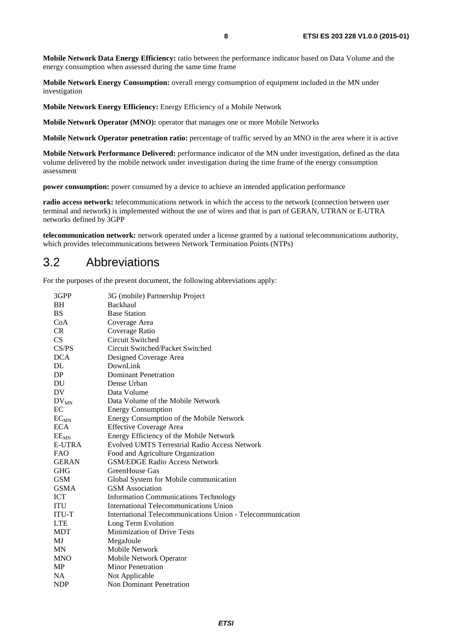<span id="page-7-0"></span>**Mobile Network Data Energy Efficiency:** ratio between the performance indicator based on Data Volume and the energy consumption when assessed during the same time frame

**Mobile Network Energy Consumption:** overall energy consumption of equipment included in the MN under investigation

**Mobile Network Energy Efficiency:** Energy Efficiency of a Mobile Network

**Mobile Network Operator (MNO):** operator that manages one or more Mobile Networks

**Mobile Network Operator penetration ratio:** percentage of traffic served by an MNO in the area where it is active

**Mobile Network Performance Delivered:** performance indicator of the MN under investigation, defined as the data volume delivered by the mobile network under investigation during the time frame of the energy consumption assessment

**power consumption:** power consumed by a device to achieve an intended application performance

**radio access network:** telecommunications network in which the access to the network (connection between user terminal and network) is implemented without the use of wires and that is part of GERAN, UTRAN or E-UTRA networks defined by 3GPP

**telecommunication network:** network operated under a license granted by a national telecommunications authority, which provides telecommunications between Network Termination Points (NTPs)

#### 3.2 Abbreviations

For the purposes of the present document, the following abbreviations apply:

| 3GPP          | 3G (mobile) Partnership Project                            |
|---------------|------------------------------------------------------------|
| <b>BH</b>     | Backhaul                                                   |
| <b>BS</b>     | <b>Base Station</b>                                        |
| CoA           | Coverage Area                                              |
| CR            | Coverage Ratio                                             |
| CS            | Circuit Switched                                           |
| CS/PS         | Circuit Switched/Packet Switched                           |
| <b>DCA</b>    | Designed Coverage Area                                     |
| DL            | DownLink                                                   |
| DP            | <b>Dominant Penetration</b>                                |
| DU            | Dense Urban                                                |
| DV.           | Data Volume                                                |
| $DV_{MN}$     | Data Volume of the Mobile Network                          |
| EC            | <b>Energy Consumption</b>                                  |
| $EC_{MN}$     | Energy Consumption of the Mobile Network                   |
| <b>ECA</b>    | <b>Effective Coverage Area</b>                             |
| $EE_{MN}$     | Energy Efficiency of the Mobile Network                    |
| <b>E-UTRA</b> | <b>Evolved UMTS Terrestrial Radio Access Network</b>       |
| <b>FAO</b>    | Food and Agriculture Organization                          |
| <b>GERAN</b>  | <b>GSM/EDGE Radio Access Network</b>                       |
| <b>GHG</b>    | GreenHouse Gas                                             |
| <b>GSM</b>    | Global System for Mobile communication                     |
| <b>GSMA</b>   | <b>GSM</b> Association                                     |
| <b>ICT</b>    | <b>Information Communications Technology</b>               |
| <b>ITU</b>    | International Telecommunications Union                     |
| ITU-T         | International Telecommunications Union - Telecommunication |
| <b>LTE</b>    | Long Term Evolution                                        |
| <b>MDT</b>    | Minimization of Drive Tests                                |
| MJ            | MegaJoule                                                  |
| <b>MN</b>     | Mobile Network                                             |
| <b>MNO</b>    | Mobile Network Operator                                    |
| <b>MP</b>     | <b>Minor Penetration</b>                                   |
| <b>NA</b>     | Not Applicable                                             |
| <b>NDP</b>    | <b>Non Dominant Penetration</b>                            |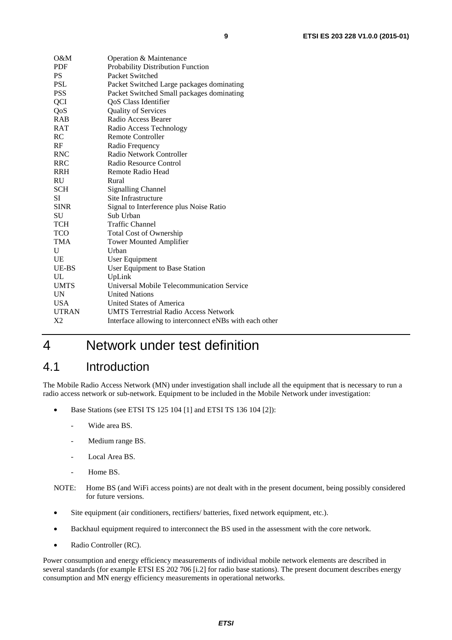<span id="page-8-0"></span>

| O&M            | Operation & Maintenance                                 |
|----------------|---------------------------------------------------------|
| <b>PDF</b>     | Probability Distribution Function                       |
| <b>PS</b>      | Packet Switched                                         |
| <b>PSL</b>     | Packet Switched Large packages dominating               |
| <b>PSS</b>     | Packet Switched Small packages dominating               |
| <b>QCI</b>     | QoS Class Identifier                                    |
| QoS            | <b>Quality of Services</b>                              |
| <b>RAB</b>     | Radio Access Bearer                                     |
| <b>RAT</b>     | Radio Access Technology                                 |
| RC             | <b>Remote Controller</b>                                |
| RF             | Radio Frequency                                         |
| <b>RNC</b>     | Radio Network Controller                                |
| <b>RRC</b>     | Radio Resource Control                                  |
| <b>RRH</b>     | Remote Radio Head                                       |
| <b>RU</b>      | Rural                                                   |
| <b>SCH</b>     | <b>Signalling Channel</b>                               |
| SI.            | Site Infrastructure                                     |
| <b>SINR</b>    | Signal to Interference plus Noise Ratio                 |
| SU             | Sub Urban                                               |
| <b>TCH</b>     | <b>Traffic Channel</b>                                  |
| <b>TCO</b>     | <b>Total Cost of Ownership</b>                          |
| <b>TMA</b>     | <b>Tower Mounted Amplifier</b>                          |
| U              | Urban                                                   |
| <b>UE</b>      | User Equipment                                          |
| UE-BS          | User Equipment to Base Station                          |
| UL             | UpLink                                                  |
| <b>UMTS</b>    | Universal Mobile Telecommunication Service              |
| <b>UN</b>      | <b>United Nations</b>                                   |
| <b>USA</b>     | United States of America                                |
| <b>UTRAN</b>   | <b>UMTS Terrestrial Radio Access Network</b>            |
| X <sub>2</sub> | Interface allowing to interconnect eNBs with each other |

## 4 Network under test definition

### 4.1 Introduction

The Mobile Radio Access Network (MN) under investigation shall include all the equipment that is necessary to run a radio access network or sub-network. Equipment to be included in the Mobile Network under investigation:

- Base Stations (see ETSI TS 125 104 [\[1](#page-5-0)] and ETSI TS 136 104 [\[2](#page-5-0)]):
	- Wide area BS.
	- Medium range BS.
	- Local Area BS.
	- Home BS.
- NOTE: Home BS (and WiFi access points) are not dealt with in the present document, being possibly considered for future versions.
- Site equipment (air conditioners, rectifiers/ batteries, fixed network equipment, etc.).
- Backhaul equipment required to interconnect the BS used in the assessment with the core network.
- Radio Controller (RC).

Power consumption and energy efficiency measurements of individual mobile network elements are described in several standards (for example ETSI ES 202 706 [\[i.2](#page-6-0)] for radio base stations). The present document describes energy consumption and MN energy efficiency measurements in operational networks.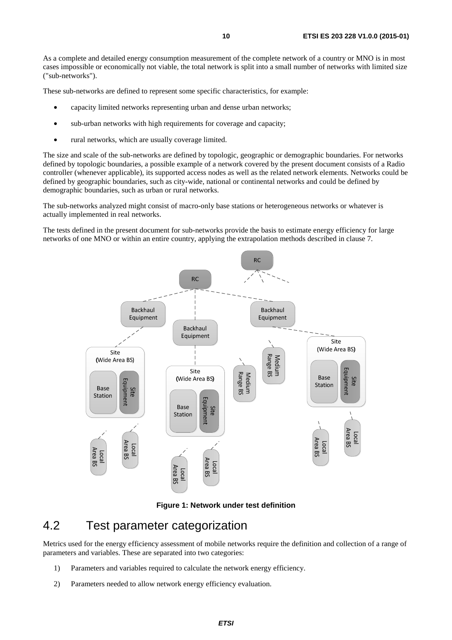<span id="page-9-0"></span>As a complete and detailed energy consumption measurement of the complete network of a country or MNO is in most cases impossible or economically not viable, the total network is split into a small number of networks with limited size ("sub-networks").

These sub-networks are defined to represent some specific characteristics, for example:

- capacity limited networks representing urban and dense urban networks;
- sub-urban networks with high requirements for coverage and capacity;
- rural networks, which are usually coverage limited.

The size and scale of the sub-networks are defined by topologic, geographic or demographic boundaries. For networks defined by topologic boundaries, a possible example of a network covered by the present document consists of a Radio controller (whenever applicable), its supported access nodes as well as the related network elements. Networks could be defined by geographic boundaries, such as city-wide, national or continental networks and could be defined by demographic boundaries, such as urban or rural networks.

The sub-networks analyzed might consist of macro-only base stations or heterogeneous networks or whatever is actually implemented in real networks.

The tests defined in the present document for sub-networks provide the basis to estimate energy efficiency for large networks of one MNO or within an entire country, applying the extrapolation methods described in clause 7.



**Figure 1: Network under test definition** 

### 4.2 Test parameter categorization

Metrics used for the energy efficiency assessment of mobile networks require the definition and collection of a range of parameters and variables. These are separated into two categories:

- 1) Parameters and variables required to calculate the network energy efficiency.
- 2) Parameters needed to allow network energy efficiency evaluation.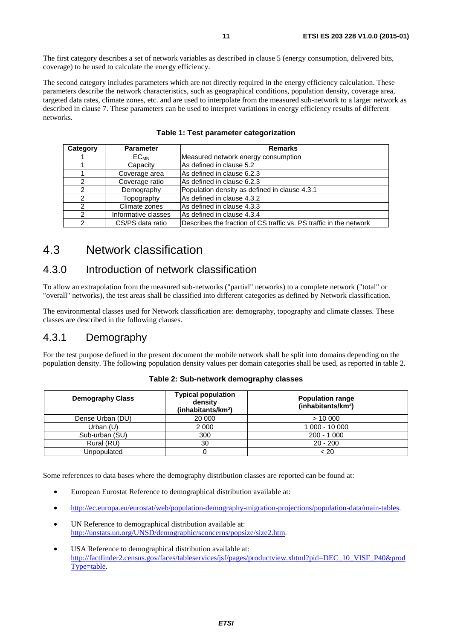<span id="page-10-0"></span>The first category describes a set of network variables as described in clause 5 (energy consumption, delivered bits, coverage) to be used to calculate the energy efficiency.

The second category includes parameters which are not directly required in the energy efficiency calculation. These parameters describe the network characteristics, such as geographical conditions, population density, coverage area, targeted data rates, climate zones, etc. and are used to interpolate from the measured sub-network to a larger network as described in clause 7. These parameters can be used to interpret variations in energy efficiency results of different networks.

| Category | <b>Parameter</b>       | <b>Remarks</b>                                                     |
|----------|------------------------|--------------------------------------------------------------------|
|          | <b>EC<sub>MN</sub></b> | Measured network energy consumption                                |
|          | Capacity               | As defined in clause 5.2                                           |
|          | Coverage area          | As defined in clause 6.2.3                                         |
| 2        | Coverage ratio         | lAs defined in clause 6.2.3                                        |
| າ        | Demography             | Population density as defined in clause 4.3.1                      |
| 2        | Topography             | As defined in clause 4.3.2                                         |
| 2        | Climate zones          | As defined in clause 4.3.3                                         |
| 2        | Informative classes    | As defined in clause 4.3.4                                         |
|          | CS/PS data ratio       | Describes the fraction of CS traffic vs. PS traffic in the network |

#### **Table 1: Test parameter categorization**

### 4.3 Network classification

#### 4.3.0 Introduction of network classification

To allow an extrapolation from the measured sub-networks ("partial" networks) to a complete network ("total" or "overall" networks), the test areas shall be classified into different categories as defined by Network classification.

The environmental classes used for Network classification are: demography, topography and climate classes. These classes are described in the following clauses.

#### 4.3.1 Demography

For the test purpose defined in the present document the mobile network shall be split into domains depending on the population density. The following population density values per domain categories shall be used, as reported in table 2.

| <b>Demography Class</b> | <b>Typical population</b><br>density<br>(inhabitants/km <sup>2</sup> ) | <b>Population range</b><br>(inhabitants/km <sup>2</sup> ) |
|-------------------------|------------------------------------------------------------------------|-----------------------------------------------------------|
| Dense Urban (DU)        | 20 000                                                                 | > 10000                                                   |
| Urban (U)               | 2 0 0 0                                                                | 1 000 - 10 000                                            |
| Sub-urban (SU)          | 300                                                                    | $200 - 1000$                                              |
| Rural (RU)              | 30                                                                     | $20 - 200$                                                |
| Unpopulated             |                                                                        | ~< 20                                                     |

**Table 2: Sub-network demography classes** 

Some references to data bases where the demography distribution classes are reported can be found at:

- European Eurostat Reference to demographical distribution available at:
- [http://ec.europa.eu/eurostat/web/population-demography-migration-projections/population-data/main-tables.](http://ec.europa.eu/eurostat/web/population-demography-migration-projections/population-data/main-tables)
- UN Reference to demographical distribution available at: [http://unstats.un.org/UNSD/demographic/sconcerns/popsize/size2.htm.](http://unstats.un.org/UNSD/demographic/sconcerns/popsize/size2.htm)
- USA Reference to demographical distribution available at: [http://factfinder2.census.gov/faces/tableservices/jsf/pages/productview.xhtml?pid=DEC\\_10\\_VISF\\_P40&prod](http://factfinder2.census.gov/faces/tableservices/jsf/pages/productview.xhtml?pid=DEC_10_VISF_P40&prodType=table) [Type=table](http://factfinder2.census.gov/faces/tableservices/jsf/pages/productview.xhtml?pid=DEC_10_VISF_P40&prodType=table).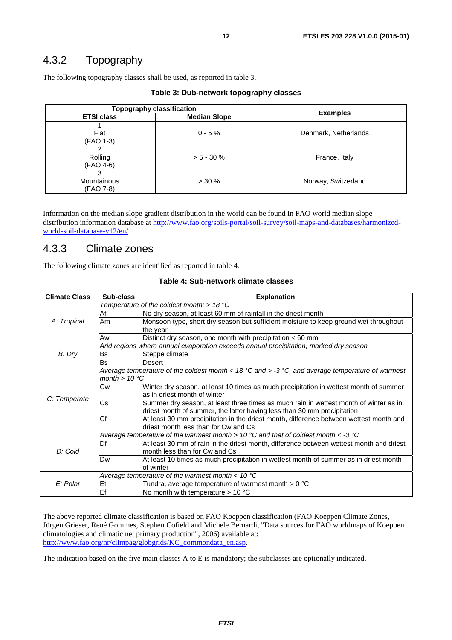### <span id="page-11-0"></span>4.3.2 Topography

The following topography classes shall be used, as reported in table 3.

| <b>Topography classification</b> |                     |                      |  |
|----------------------------------|---------------------|----------------------|--|
| <b>ETSI class</b>                | <b>Median Slope</b> | <b>Examples</b>      |  |
| Flat<br>(FAO 1-3)                | $0 - 5%$            | Denmark, Netherlands |  |
| Rolling<br>(FAO 4-6)             | $> 5 - 30 \%$       | France, Italy        |  |
| 3<br>Mountainous<br>(FAO 7-8)    | $> 30 \%$           | Norway, Switzerland  |  |

Information on the median slope gradient distribution in the world can be found in FAO world median slope distribution information database at [http://www.fao.org/soils-portal/soil-survey/soil-maps-and-databases/harmonized](http://www.fao.org/soils-portal/soil-survey/soil-maps-and-databases/harmonized-world-soil-database-v12/en/)[world-soil-database-v12/en/.](http://www.fao.org/soils-portal/soil-survey/soil-maps-and-databases/harmonized-world-soil-database-v12/en/)

#### 4.3.3 Climate zones

The following climate zones are identified as reported in table 4.

|  | Table 4: Sub-network climate classes |  |  |
|--|--------------------------------------|--|--|
|--|--------------------------------------|--|--|

| <b>Climate Class</b> | Sub-class              | <b>Explanation</b>                                                                                                   |
|----------------------|------------------------|----------------------------------------------------------------------------------------------------------------------|
|                      |                        | Temperature of the coldest month: $> 18$ °C                                                                          |
|                      | Af                     | No dry season, at least 60 mm of rainfall in the driest month                                                        |
| A: Tropical          | Am                     | Monsoon type, short dry season but sufficient moisture to keep ground wet throughout                                 |
|                      |                        | the year                                                                                                             |
|                      | Aw                     | Distinct dry season, one month with precipitation $<$ 60 mm                                                          |
|                      |                        | Arid regions where annual evaporation exceeds annual precipitation, marked dry season                                |
| B: Dry               | <b>Bs</b>              | Steppe climate                                                                                                       |
|                      | <b>Bs</b>              | Desert                                                                                                               |
|                      |                        | Average temperature of the coldest month < 18 $^{\circ}$ C and > -3 $^{\circ}$ C, and average temperature of warmest |
|                      | month $> 10^{\circ}$ C |                                                                                                                      |
|                      | Cw                     | Winter dry season, at least 10 times as much precipitation in wettest month of summer                                |
| C: Temperate         |                        | as in driest month of winter                                                                                         |
|                      | Cs                     | Summer dry season, at least three times as much rain in wettest month of winter as in                                |
|                      |                        | driest month of summer, the latter having less than 30 mm precipitation                                              |
|                      | Cf                     | At least 30 mm precipitation in the driest month, difference between wettest month and                               |
|                      |                        | driest month less than for Cw and Cs                                                                                 |
|                      |                        | Average temperature of the warmest month > 10 °C and that of coldest month < -3 °C                                   |
|                      | Df                     | At least 30 mm of rain in the driest month, difference between wettest month and driest                              |
| D: Cold              |                        | month less than for Cw and Cs                                                                                        |
|                      | Dw                     | At least 10 times as much precipitation in wettest month of summer as in driest month                                |
|                      |                        | of winter                                                                                                            |
|                      |                        | Average temperature of the warmest month $<$ 10 °C                                                                   |
| E: Polar             | Et                     | Tundra, average temperature of warmest month $> 0$ °C                                                                |
|                      | Ef                     | No month with temperature $> 10$ °C                                                                                  |

The above reported climate classification is based on FAO Koeppen classification (FAO Koeppen Climate Zones, Jürgen Grieser, René Gommes, Stephen Cofield and Michele Bernardi, "Data sources for FAO worldmaps of Koeppen climatologies and climatic net primary production", 2006) available at: [http://www.fao.org/nr/climpag/globgrids/KC\\_commondata\\_en.asp.](http://www.fao.org/nr/climpag/globgrids/KC_commondata_en.asp)

The indication based on the five main classes A to E is mandatory; the subclasses are optionally indicated.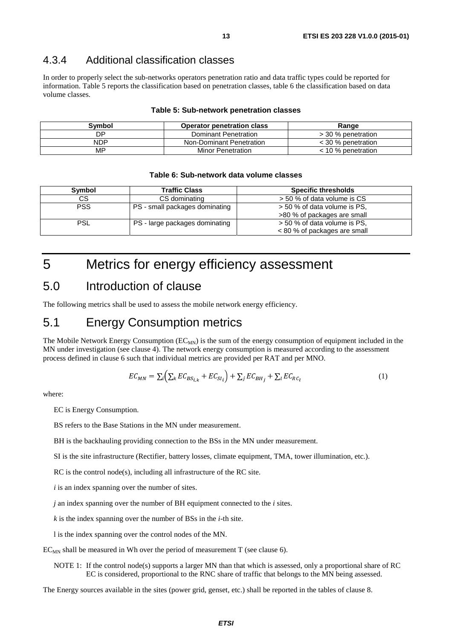#### <span id="page-12-0"></span>4.3.4 Additional classification classes

In order to properly select the sub-networks operators penetration ratio and data traffic types could be reported for information. Table 5 reports the classification based on penetration classes, table 6 the classification based on data volume classes.

#### **Table 5: Sub-network penetration classes**

| Svmbol     | <b>Operator penetration class</b> | Range                |
|------------|-----------------------------------|----------------------|
| DP         | Dominant Penetration              | > 30 % penetration   |
| <b>NDP</b> | Non-Dominant Penetration          | $<$ 30 % penetration |
| MP.        | Minor Penetration                 | $<$ 10 % penetration |

#### **Table 6: Sub-network data volume classes**

| Symbol     | <b>Traffic Class</b>           | <b>Specific thresholds</b>   |
|------------|--------------------------------|------------------------------|
| СS         | CS dominating                  | > 50 % of data volume is CS  |
| <b>PSS</b> | PS - small packages dominating | > 50 % of data volume is PS. |
|            |                                | >80 % of packages are small  |
| PSL        | PS - large packages dominating | > 50 % of data volume is PS, |
|            |                                | < 80 % of packages are small |

## 5 Metrics for energy efficiency assessment

#### 5.0 Introduction of clause

The following metrics shall be used to assess the mobile network energy efficiency.

### 5.1 Energy Consumption metrics

The Mobile Network Energy Consumption  $(EC_{MN})$  is the sum of the energy consumption of equipment included in the MN under investigation (see clause 4). The network energy consumption is measured according to the assessment process defined in clause 6 such that individual metrics are provided per RAT and per MNO.

$$
EC_{MN} = \sum_{i} \left( \sum_{k} EC_{BS_{i,k}} + EC_{SI_{i}} \right) + \sum_{j} EC_{BH_{j}} + \sum_{l} EC_{RC_{l}}
$$
\n
$$
\tag{1}
$$

where:

EC is Energy Consumption.

BS refers to the Base Stations in the MN under measurement.

BH is the backhauling providing connection to the BSs in the MN under measurement.

SI is the site infrastructure (Rectifier, battery losses, climate equipment, TMA, tower illumination, etc.).

RC is the control node(s), including all infrastructure of the RC site.

*i* is an index spanning over the number of sites.

*j* an index spanning over the number of BH equipment connected to the *i* sites.

*k* is the index spanning over the number of BSs in the *i*-th site.

l is the index spanning over the control nodes of the MN.

 $EC_{MN}$  shall be measured in Wh over the period of measurement T (see clause 6).

NOTE 1: If the control node(s) supports a larger MN than that which is assessed, only a proportional share of RC EC is considered, proportional to the RNC share of traffic that belongs to the MN being assessed.

The Energy sources available in the sites (power grid, genset, etc.) shall be reported in the tables of clause 8.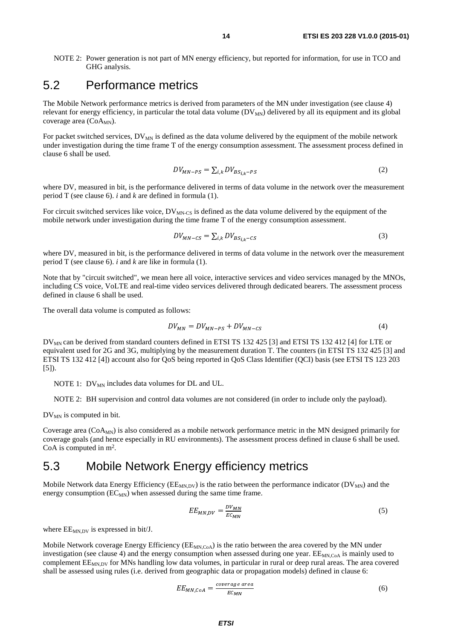<span id="page-13-0"></span>NOTE 2: Power generation is not part of MN energy efficiency, but reported for information, for use in TCO and GHG analysis.

### 5.2 Performance metrics

The Mobile Network performance metrics is derived from parameters of the MN under investigation (see clause 4) relevant for energy efficiency, in particular the total data volume  $(DV<sub>MN</sub>)$  delivered by all its equipment and its global coverage area  $(CoA_{MN})$ .

For packet switched services,  $DV_{MN}$  is defined as the data volume delivered by the equipment of the mobile network under investigation during the time frame T of the energy consumption assessment. The assessment process defined in clause 6 shall be used.

$$
DV_{MN-PS} = \sum_{i,k} DV_{BS_{i,k}-PS}
$$
 (2)

where DV, measured in bit, is the performance delivered in terms of data volume in the network over the measurement period T (see clause 6). *i* and *k* are defined in formula (1).

For circuit switched services like voice,  $DV_{MN-CS}$  is defined as the data volume delivered by the equipment of the mobile network under investigation during the time frame T of the energy consumption assessment.

$$
DV_{MN-CS} = \sum_{i,k} DV_{BS_{i,k}-CS}
$$
 (3)

where DV, measured in bit, is the performance delivered in terms of data volume in the network over the measurement period T (see clause 6). *i* and *k* are like in formula (1).

Note that by "circuit switched", we mean here all voice, interactive services and video services managed by the MNOs, including CS voice, VoLTE and real-time video services delivered through dedicated bearers. The assessment process defined in clause 6 shall be used.

The overall data volume is computed as follows:

$$
DV_{MN} = DV_{MN-PS} + DV_{MN-CS}
$$
 (4)

DV<sub>MN</sub> can be derived from standard counters defined in ETSI TS 132 425 [\[3](#page-5-0)] and ETSI TS 132 412 [\[4](#page-5-0)] for LTE or equivalent used for 2G and 3G, multiplying by the measurement duration T. The counters (in ETSI TS 132 425 [\[3](#page-5-0)] and ETSI TS 132 412 [\[4](#page-5-0)]) account also for QoS being reported in QoS Class Identifier (QCI) basis (see ETSI TS 123 203 [\[5\]](#page-5-0)).

NOTE 1:  $DV_{MN}$  includes data volumes for DL and UL.

NOTE 2: BH supervision and control data volumes are not considered (in order to include only the payload).

 $DV_{MN}$  is computed in bit.

Coverage area  $(CoA<sub>MN</sub>)$  is also considered as a mobile network performance metric in the MN designed primarily for coverage goals (and hence especially in RU environments). The assessment process defined in clause 6 shall be used. CoA is computed in m2.

### 5.3 Mobile Network Energy efficiency metrics

Mobile Network data Energy Efficiency ( $EE_{MN,DV}$ ) is the ratio between the performance indicator ( $DV_{MN}$ ) and the energy consumption  $(EC_{MN})$  when assessed during the same time frame.

$$
EE_{MN,DV} = \frac{DV_{MN}}{EC_{MN}}
$$
 (5)

where  $EE_{MNDV}$  is expressed in bit/J.

Mobile Network coverage Energy Efficiency ( $E_{MN,CoA}$ ) is the ratio between the area covered by the MN under investigation (see clause 4) and the energy consumption when assessed during one year.  $EE_{MN,CoA}$  is mainly used to complement  $EE_{MN\,DY}$  for MNs handling low data volumes, in particular in rural or deep rural areas. The area covered shall be assessed using rules (i.e. derived from geographic data or propagation models) defined in clause 6:

$$
EE_{MN,CoA} = \frac{coverage\ area}{EC_{MN}}
$$
 (6)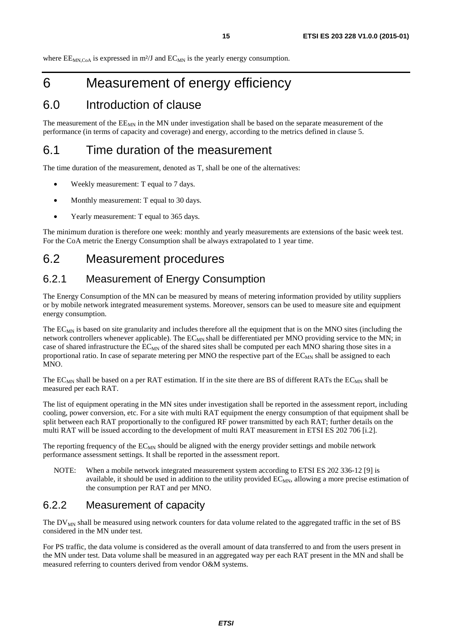<span id="page-14-0"></span>where  $EE_{MN,CoA}$  is expressed in m<sup>2</sup>/J and  $EC_{MN}$  is the yearly energy consumption.

## 6 Measurement of energy efficiency

### 6.0 Introduction of clause

The measurement of the  $EE_{MN}$  in the MN under investigation shall be based on the separate measurement of the performance (in terms of capacity and coverage) and energy, according to the metrics defined in clause 5.

### 6.1 Time duration of the measurement

The time duration of the measurement, denoted as T, shall be one of the alternatives:

- Weekly measurement: T equal to 7 days.
- Monthly measurement: T equal to 30 days.
- Yearly measurement: T equal to 365 days.

The minimum duration is therefore one week: monthly and yearly measurements are extensions of the basic week test. For the CoA metric the Energy Consumption shall be always extrapolated to 1 year time.

### 6.2 Measurement procedures

#### 6.2.1 Measurement of Energy Consumption

The Energy Consumption of the MN can be measured by means of metering information provided by utility suppliers or by mobile network integrated measurement systems. Moreover, sensors can be used to measure site and equipment energy consumption.

The  $EC_{MN}$  is based on site granularity and includes therefore all the equipment that is on the MNO sites (including the network controllers whenever applicable). The  $EC_{MN}$  shall be differentiated per MNO providing service to the MN; in case of shared infrastructure the  $EC_{MN}$  of the shared sites shall be computed per each MNO sharing those sites in a proportional ratio. In case of separate metering per MNO the respective part of the EC<sub>MN</sub> shall be assigned to each MNO.

The EC<sub>MN</sub> shall be based on a per RAT estimation. If in the site there are BS of different RATs the EC<sub>MN</sub> shall be measured per each RAT.

The list of equipment operating in the MN sites under investigation shall be reported in the assessment report, including cooling, power conversion, etc. For a site with multi RAT equipment the energy consumption of that equipment shall be split between each RAT proportionally to the configured RF power transmitted by each RAT; further details on the multi RAT will be issued according to the development of multi RAT measurement in ETSI ES 202 706 [\[i.2](#page-6-0)].

The reporting frequency of the  $EC_{MN}$  should be aligned with the energy provider settings and mobile network performance assessment settings. It shall be reported in the assessment report.

NOTE: When a mobile network integrated measurement system according to ETSI ES 202 336-12 [\[9](#page-6-0)] is available, it should be used in addition to the utility provided  $EC_{MN}$ , allowing a more precise estimation of the consumption per RAT and per MNO.

#### 6.2.2 Measurement of capacity

The  $DV_{MN}$  shall be measured using network counters for data volume related to the aggregated traffic in the set of BS considered in the MN under test.

For PS traffic, the data volume is considered as the overall amount of data transferred to and from the users present in the MN under test. Data volume shall be measured in an aggregated way per each RAT present in the MN and shall be measured referring to counters derived from vendor O&M systems.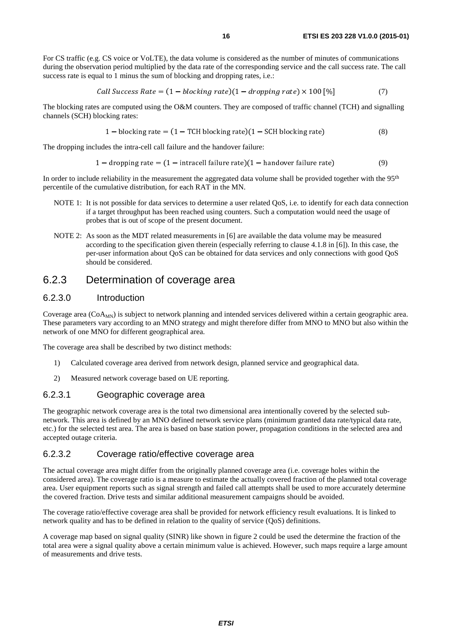<span id="page-15-0"></span>For CS traffic (e.g. CS voice or VoLTE), the data volume is considered as the number of minutes of communications during the observation period multiplied by the data rate of the corresponding service and the call success rate. The call success rate is equal to 1 minus the sum of blocking and dropping rates, i.e.:

Call Success Rate = 
$$
(1 - blocking rate)(1 - dropping rate) \times 100
$$
 [%)  $(7)$ 

The blocking rates are computed using the O&M counters. They are composed of traffic channel (TCH) and signalling channels (SCH) blocking rates:

$$
1 - blocking rate = (1 - TCH blocking rate)(1 - SCH blocking rate)
$$
\n(8)

The dropping includes the intra-cell call failure and the handover failure:

$$
1 - dropping rate = (1 - intracell failure rate)(1 - handover failure rate)
$$
\n(9)

In order to include reliability in the measurement the aggregated data volume shall be provided together with the  $95<sup>th</sup>$ percentile of the cumulative distribution, for each RAT in the MN.

- NOTE 1: It is not possible for data services to determine a user related QoS, i.e. to identify for each data connection if a target throughput has been reached using counters. Such a computation would need the usage of probes that is out of scope of the present document.
- NOTE 2: As soon as the MDT related measurements in [\[6](#page-5-0)] are available the data volume may be measured according to the specification given therein (especially referring to clause 4.1.8 in [\[6\]](#page-5-0)). In this case, the per-user information about QoS can be obtained for data services and only connections with good QoS should be considered.

#### 6.2.3 Determination of coverage area

#### 6.2.3.0 Introduction

Coverage area (CoA<sub>MN</sub>) is subject to network planning and intended services delivered within a certain geographic area. These parameters vary according to an MNO strategy and might therefore differ from MNO to MNO but also within the network of one MNO for different geographical area.

The coverage area shall be described by two distinct methods:

- 1) Calculated coverage area derived from network design, planned service and geographical data.
- 2) Measured network coverage based on UE reporting.

#### 6.2.3.1 Geographic coverage area

The geographic network coverage area is the total two dimensional area intentionally covered by the selected subnetwork. This area is defined by an MNO defined network service plans (minimum granted data rate/typical data rate, etc.) for the selected test area. The area is based on base station power, propagation conditions in the selected area and accepted outage criteria.

#### 6.2.3.2 Coverage ratio/effective coverage area

The actual coverage area might differ from the originally planned coverage area (i.e. coverage holes within the considered area). The coverage ratio is a measure to estimate the actually covered fraction of the planned total coverage area. User equipment reports such as signal strength and failed call attempts shall be used to more accurately determine the covered fraction. Drive tests and similar additional measurement campaigns should be avoided.

The coverage ratio/effective coverage area shall be provided for network efficiency result evaluations. It is linked to network quality and has to be defined in relation to the quality of service (QoS) definitions.

A coverage map based on signal quality (SINR) like shown in figure [2](#page-16-0) could be used the determine the fraction of the total area were a signal quality above a certain minimum value is achieved. However, such maps require a large amount of measurements and drive tests.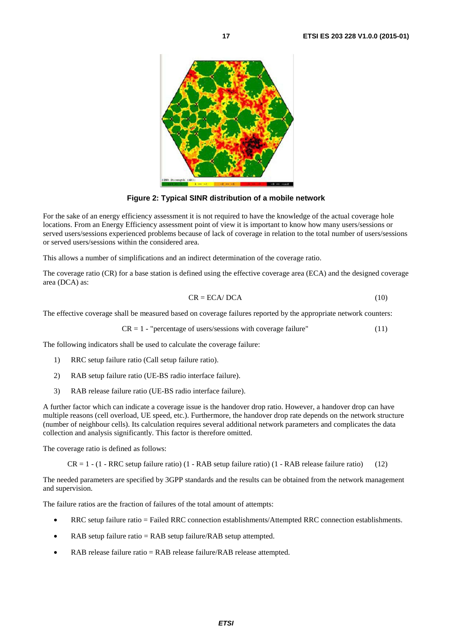<span id="page-16-0"></span>

**Figure 2: Typical SINR distribution of a mobile network** 

For the sake of an energy efficiency assessment it is not required to have the knowledge of the actual coverage hole locations. From an Energy Efficiency assessment point of view it is important to know how many users/sessions or served users/sessions experienced problems because of lack of coverage in relation to the total number of users/sessions or served users/sessions within the considered area.

This allows a number of simplifications and an indirect determination of the coverage ratio.

The coverage ratio (CR) for a base station is defined using the effective coverage area (ECA) and the designed coverage area (DCA) as:

$$
CR = ECA/DCA \tag{10}
$$

The effective coverage shall be measured based on coverage failures reported by the appropriate network counters:

$$
CR = 1 - "percentage of users/sessions with coverage failure" \tag{11}
$$

The following indicators shall be used to calculate the coverage failure:

- 1) RRC setup failure ratio (Call setup failure ratio).
- 2) RAB setup failure ratio (UE-BS radio interface failure).
- 3) RAB release failure ratio (UE-BS radio interface failure).

A further factor which can indicate a coverage issue is the handover drop ratio. However, a handover drop can have multiple reasons (cell overload, UE speed, etc.). Furthermore, the handover drop rate depends on the network structure (number of neighbour cells). Its calculation requires several additional network parameters and complicates the data collection and analysis significantly. This factor is therefore omitted.

The coverage ratio is defined as follows:

 $CR = 1 - (1 - RRC setup failure ratio) (1 - RAB setup failure ratio) (1 - RAB release failure ratio) (12)$ 

The needed parameters are specified by 3GPP standards and the results can be obtained from the network management and supervision.

The failure ratios are the fraction of failures of the total amount of attempts:

- RRC setup failure ratio = Failed RRC connection establishments/Attempted RRC connection establishments.
- RAB setup failure ratio = RAB setup failure/RAB setup attempted.
- RAB release failure ratio = RAB release failure/RAB release attempted.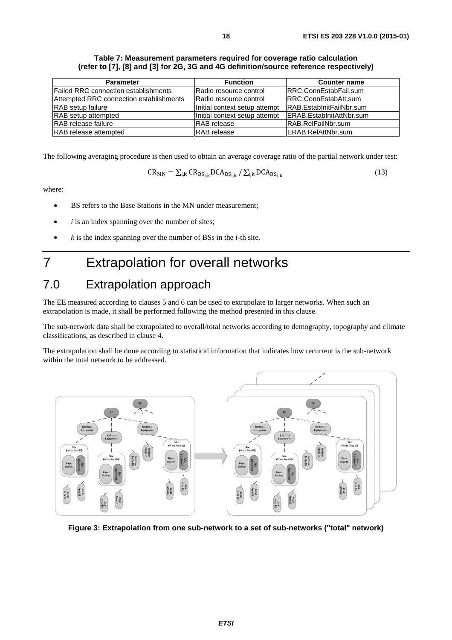| Table 7: Measurement parameters required for coverage ratio calculation                |
|----------------------------------------------------------------------------------------|
| (refer to [7], [8] and [3] for 2G, 3G and 4G definition/source reference respectively) |

<span id="page-17-0"></span>

| <b>Parameter</b>                        | <b>Function</b>               | <b>Counter name</b>          |
|-----------------------------------------|-------------------------------|------------------------------|
| Failed RRC connection establishments    | Radio resource control        | <b>RRC.ConnEstabFail.sum</b> |
| Attempted RRC connection establishments | Radio resource control        | IRRC.ConnEstabAtt.sum        |
| <b>RAB</b> setup failure                | Initial context setup attempt | IRAB.EstabInitFailNbr.sum    |
| RAB setup attempted                     | Initial context setup attempt | ERAB.EstablnitAttNbr.sum     |
| <b>IRAB</b> release failure             | <b>RAB</b> release            | IRAB.RelFailNbr.sum          |
| <b>RAB</b> release attempted            | <b>RAB</b> release            | ERAB.RelAttNbr.sum           |

The following averaging procedure is then used to obtain an average coverage ratio of the partial network under test:

$$
CR_{MN} = \sum_{i,k} CR_{BS_{i,k}} DCA_{BS_{i,k}} / \sum_{i,k} DCA_{BS_{i,k}}
$$
 (13)

where:

- BS refers to the Base Stations in the MN under measurement;
- *i* is an index spanning over the number of sites;
- *k* is the index spanning over the number of BSs in the *i*-th site.

## 7 Extrapolation for overall networks

### 7.0 Extrapolation approach

The EE measured according to clauses 5 and 6 can be used to extrapolate to larger networks. When such an extrapolation is made, it shall be performed following the method presented in this clause.

The sub-network data shall be extrapolated to overall/total networks according to demography, topography and climate classifications, as described in clause 4.

The extrapolation shall be done according to statistical information that indicates how recurrent is the sub-network within the total network to be addressed.



**Figure 3: Extrapolation from one sub-network to a set of sub-networks ("total" network)**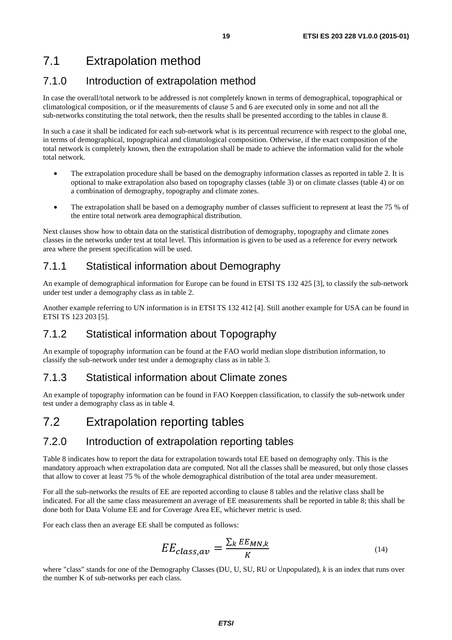### <span id="page-18-0"></span>7.1 Extrapolation method

#### 7.1.0 Introduction of extrapolation method

In case the overall/total network to be addressed is not completely known in terms of demographical, topographical or climatological composition, or if the measurements of clause 5 and 6 are executed only in some and not all the sub-networks constituting the total network, then the results shall be presented according to the tables in clause 8.

In such a case it shall be indicated for each sub-network what is its percentual recurrence with respect to the global one, in terms of demographical, topographical and climatological composition. Otherwise, if the exact composition of the total network is completely known, then the extrapolation shall be made to achieve the information valid for the whole total network.

- The extrapolation procedure shall be based on the demography information classes as reported in table [2](#page-10-0). It is optional to make extrapolation also based on topography classes (table [3\)](#page-11-0) or on climate classes (table [4](#page-11-0)) or on a combination of demography, topography and climate zones.
- The extrapolation shall be based on a demography number of classes sufficient to represent at least the 75 % of the entire total network area demographical distribution.

Next clauses show how to obtain data on the statistical distribution of demography, topography and climate zones classes in the networks under test at total level. This information is given to be used as a reference for every network area where the present specification will be used.

#### 7.1.1 Statistical information about Demography

An example of demographical information for Europe can be found in ETSI TS 132 425 [\[3](#page-5-0)], to classify the sub-network under test under a demography class as in table [2](#page-10-0).

Another example referring to UN information is in ETSI TS 132 412 [\[4](#page-5-0)]. Still another example for USA can be found in ETSI TS 123 203 [\[5](#page-5-0)].

#### 7.1.2 Statistical information about Topography

An example of topography information can be found at the FAO world median slope distribution information, to classify the sub-network under test under a demography class as in table [3](#page-11-0).

#### 7.1.3 Statistical information about Climate zones

An example of topography information can be found in FAO Koeppen classification, to classify the sub-network under test under a demography class as in table [4](#page-11-0).

### 7.2 Extrapolation reporting tables

#### 7.2.0 Introduction of extrapolation reporting tables

Table [8](#page-19-0) indicates how to report the data for extrapolation towards total EE based on demography only. This is the mandatory approach when extrapolation data are computed. Not all the classes shall be measured, but only those classes that allow to cover at least 75 % of the whole demographical distribution of the total area under measurement.

For all the sub-networks the results of EE are reported according to clause 8 tables and the relative class shall be indicated. For all the same class measurement an average of EE measurements shall be reported in table [8](#page-19-0); this shall be done both for Data Volume EE and for Coverage Area EE, whichever metric is used.

For each class then an average EE shall be computed as follows:

$$
EE_{class,av} = \frac{\sum_{k} EE_{MN,k}}{K}
$$
\n(14)

where "class" stands for one of the Demography Classes (DU, U, SU, RU or Unpopulated), *k* is an index that runs over the number K of sub-networks per each class.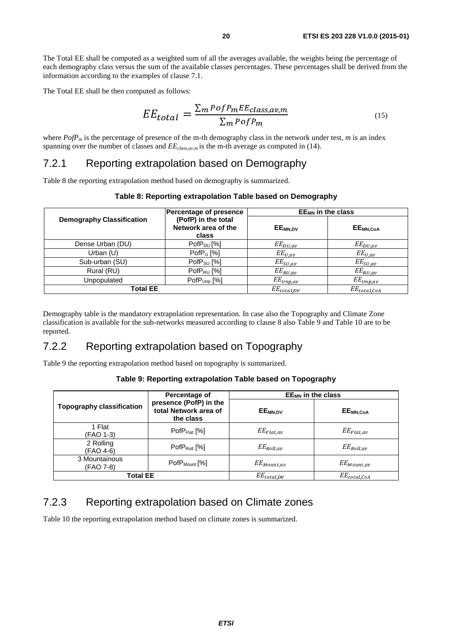<span id="page-19-0"></span>The Total EE shall be computed as a weighted sum of all the averages available, the weights being the percentage of each demography class versus the sum of the available classes percentages. These percentages shall be derived from the information according to the examples of clause 7.1.

The Total EE shall be then computed as follows:

$$
EE_{total} = \frac{\sum_{m} Pof P_{m} EE_{class,av,m}}{\sum_{m} Pof P_{m}}
$$
\n(15)

where *PofP<sub>m</sub>* is the percentage of presence of the m-th demography class in the network under test, *m* is an index spanning over the number of classes and  $EE_{class,aw,m}$  is the m-th average as computed in (14).

#### 7.2.1 Reporting extrapolation based on Demography

Table 8 the reporting extrapolation method based on demography is summarized.

|                                  | Percentage of presence                              | $EE_{MN}$ in the class |                      |
|----------------------------------|-----------------------------------------------------|------------------------|----------------------|
| <b>Demography Classification</b> | (PofP) in the total<br>Network area of the<br>class | EE <sub>MN.DV</sub>    | EE <sub>MN,CoA</sub> |
| Dense Urban (DU)                 | $PofP_{DU}$ [%]                                     | $EE_{DU,av}$           | $EE_{DU,av}$         |
| Urban (U)                        | PofP <sub>U</sub> [%]                               | $EE_{U,av}$            | $EE_{U,av}$          |
| Sub-urban (SU)                   | $PofP_{SU}$ [%]                                     | $EE_{SU,av}$           | $EE_{SU,av}$         |
| Rural (RU)                       | $PofP_{RU}$ [%]                                     | $EE_{RU,av}$           | $EE_{RU,av}$         |
| Unpopulated                      | $PofPUnp$ [%]                                       | $EE_{Unp,av}$          | $EE_{Unp,av}$        |
| <b>Total EE</b>                  |                                                     | $EE_{total.DV}$        | $EE_{tot.0LOA}$      |

#### **Table 8: Reporting extrapolation Table based on Demography**

Demography table is the mandatory extrapolation representation. In case also the Topography and Climate Zone classification is available for the sub-networks measured according to clause 8 also Table 9 and [Table 10](#page-20-0) are to be reported.

#### 7.2.2 Reporting extrapolation based on Topography

Table 9 the reporting extrapolation method based on topography is summarized.

#### **Table 9: Reporting extrapolation Table based on Topography**

|                                  | Percentage of                                                | $EE_{MN}$ in the class |                                          |
|----------------------------------|--------------------------------------------------------------|------------------------|------------------------------------------|
| <b>Topography classification</b> | presence (PofP) in the<br>total Network area of<br>the class | EE <sub>MN.DV</sub>    | $\mathsf{EE}_{\mathsf{MN},\mathsf{CoA}}$ |
| 1 Flat<br>(FAO 1-3)              | $PofP_{Flat}$ [%]                                            | $EE_{Flat,av}$         | $EE_{Flat,av}$                           |
| 2 Rolling<br>(FAO 4-6)           | $PofP_{Roll}$ [%]                                            | $EE_{Roll,av}$         | $EE_{Roll,av}$                           |
| 3 Mountainous<br>(FAO 7-8)       | PofP <sub>Mount</sub> [%]                                    | $EE_{Mount,av}$        | $EE_{Mount,av}$                          |
| <b>Total EE</b>                  |                                                              | $EE_{total, DV}$       | $EE_{total,C_0A}$                        |

#### 7.2.3 Reporting extrapolation based on Climate zones

Table 10 the reporting extrapolation method based on climate zones is summarized.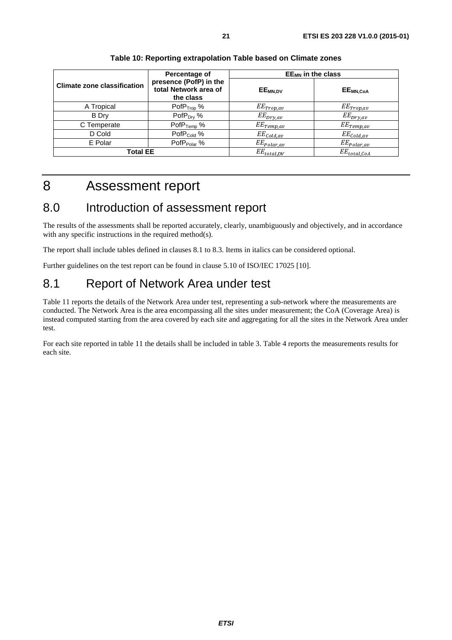<span id="page-20-0"></span>

|                                    | Percentage of                                                | $EE_{MN}$ in the class |                      |
|------------------------------------|--------------------------------------------------------------|------------------------|----------------------|
| <b>Climate zone classification</b> | presence (PofP) in the<br>total Network area of<br>the class | EE <sub>MN,DV</sub>    | EE <sub>MN,CoA</sub> |
| A Tropical                         | Pof $P_{Top}$ %                                              | $EE_{Trop,av}$         | $EE_{Trop,av}$       |
| <b>B</b> Dry                       | PofP <sub>Dry</sub> %                                        | $EE_{Dry,av}$          | $EE_{DYY,av}$        |
| C Temperate                        | $PofP_{Temp}$ %                                              | $EE_{Temp,av}$         | $EE_{Temp,av}$       |
| D Cold                             | PofP <sub>Cold</sub> %                                       | $EE_{cold,av}$         | $EE_{cold,av}$       |
| E Polar                            | PofP <sub>Polar</sub> %                                      | $EE_{Polar,av}$        | $EE_{Polar,av}$      |
| Total EE                           |                                                              | $EE_{total,DV}$        | $EE_{total,C.0A}$    |

#### **Table 10: Reporting extrapolation Table based on Climate zones**

### 8 Assessment report

### 8.0 Introduction of assessment report

The results of the assessments shall be reported accurately, clearly, unambiguously and objectively, and in accordance with any specific instructions in the required method(s).

The report shall include tables defined in clauses 8.1 to 8.3. Items in italics can be considered optional.

Further guidelines on the test report can be found in clause 5.10 of ISO/IEC 17025 [\[10](#page-6-0)].

### 8.1 Report of Network Area under test

Table 11 reports the details of the Network Area under test, representing a sub-network where the measurements are conducted. The Network Area is the area encompassing all the sites under measurement; the CoA (Coverage Area) is instead computed starting from the area covered by each site and aggregating for all the sites in the Network Area under test.

For each site reported in table 11 the details shall be included in table 3. Table 4 reports the measurements results for each site.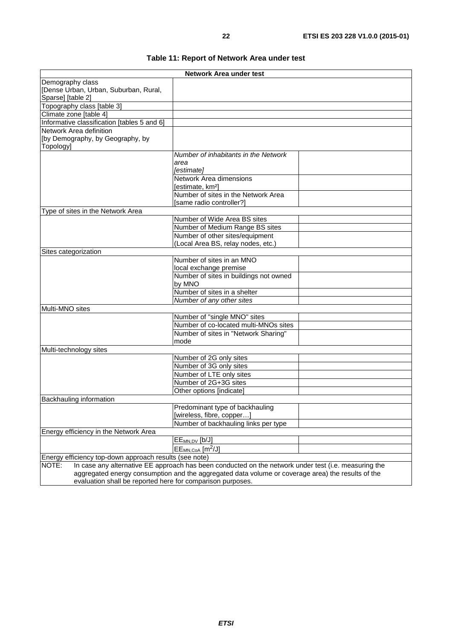|  |  | Table 11: Report of Network Area under test |  |
|--|--|---------------------------------------------|--|
|--|--|---------------------------------------------|--|

<span id="page-21-0"></span>

| Network Area under test                                    |                                                                                                      |  |  |  |
|------------------------------------------------------------|------------------------------------------------------------------------------------------------------|--|--|--|
| Demography class                                           |                                                                                                      |  |  |  |
| [Dense Urban, Urban, Suburban, Rural,                      |                                                                                                      |  |  |  |
| Sparse] [table 2]                                          |                                                                                                      |  |  |  |
| Topography class [table 3]                                 |                                                                                                      |  |  |  |
| Climate zone [table 4]                                     |                                                                                                      |  |  |  |
| Informative classification [tables 5 and 6]                |                                                                                                      |  |  |  |
| Network Area definition                                    |                                                                                                      |  |  |  |
| [by Demography, by Geography, by                           |                                                                                                      |  |  |  |
| Topology]                                                  |                                                                                                      |  |  |  |
|                                                            | Number of inhabitants in the Network                                                                 |  |  |  |
|                                                            | area                                                                                                 |  |  |  |
|                                                            | [estimate]                                                                                           |  |  |  |
|                                                            | Network Area dimensions                                                                              |  |  |  |
|                                                            | [estimate, km <sup>2</sup> ]                                                                         |  |  |  |
|                                                            | Number of sites in the Network Area                                                                  |  |  |  |
|                                                            | [same radio controller?]                                                                             |  |  |  |
| Type of sites in the Network Area                          |                                                                                                      |  |  |  |
|                                                            | Number of Wide Area BS sites                                                                         |  |  |  |
|                                                            | Number of Medium Range BS sites                                                                      |  |  |  |
|                                                            | Number of other sites/equipment                                                                      |  |  |  |
|                                                            | (Local Area BS, relay nodes, etc.)                                                                   |  |  |  |
| Sites categorization                                       |                                                                                                      |  |  |  |
|                                                            | Number of sites in an MNO                                                                            |  |  |  |
|                                                            | local exchange premise                                                                               |  |  |  |
|                                                            | Number of sites in buildings not owned                                                               |  |  |  |
|                                                            | by MNO<br>Number of sites in a shelter                                                               |  |  |  |
|                                                            |                                                                                                      |  |  |  |
| Multi-MNO sites                                            | Number of any other sites                                                                            |  |  |  |
|                                                            |                                                                                                      |  |  |  |
|                                                            | Number of "single MNO" sites                                                                         |  |  |  |
|                                                            | Number of co-located multi-MNOs sites                                                                |  |  |  |
|                                                            | Number of sites in "Network Sharing"                                                                 |  |  |  |
|                                                            | mode                                                                                                 |  |  |  |
| Multi-technology sites                                     |                                                                                                      |  |  |  |
|                                                            | Number of 2G only sites                                                                              |  |  |  |
|                                                            | Number of 3G only sites                                                                              |  |  |  |
|                                                            | Number of LTE only sites<br>Number of 2G+3G sites                                                    |  |  |  |
|                                                            |                                                                                                      |  |  |  |
|                                                            | Other options [indicate]                                                                             |  |  |  |
| Backhauling information                                    |                                                                                                      |  |  |  |
|                                                            | Predominant type of backhauling                                                                      |  |  |  |
|                                                            | [wireless, fibre, copper]                                                                            |  |  |  |
|                                                            | Number of backhauling links per type                                                                 |  |  |  |
| Energy efficiency in the Network Area                      |                                                                                                      |  |  |  |
|                                                            | EE <sub>MN,DV</sub> [b/J]                                                                            |  |  |  |
|                                                            | $EE_{MN,CoA}$ [m <sup>2</sup> /J]                                                                    |  |  |  |
| Energy efficiency top-down approach results (see note)     |                                                                                                      |  |  |  |
| NOTE:                                                      | In case any alternative EE approach has been conducted on the network under test (i.e. measuring the |  |  |  |
|                                                            | aggregated energy consumption and the aggregated data volume or coverage area) the results of the    |  |  |  |
| evaluation shall be reported here for comparison purposes. |                                                                                                      |  |  |  |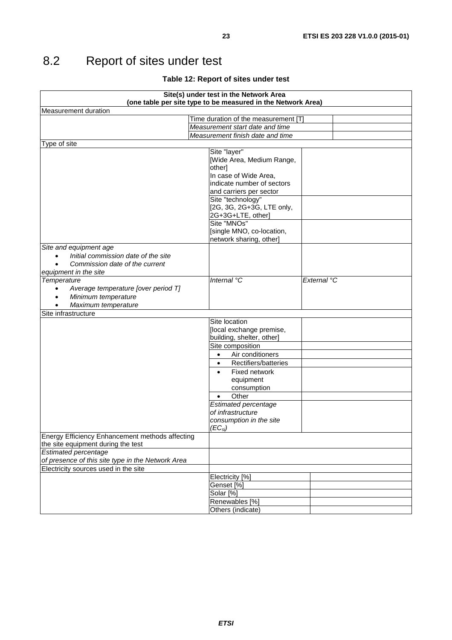## <span id="page-22-0"></span>8.2 Report of sites under test

#### **Table 12: Report of sites under test**

| Site(s) under test in the Network Area                        |                                                              |             |  |  |
|---------------------------------------------------------------|--------------------------------------------------------------|-------------|--|--|
|                                                               | (one table per site type to be measured in the Network Area) |             |  |  |
| <b>Measurement duration</b>                                   |                                                              |             |  |  |
| Time duration of the measurement [T]                          |                                                              |             |  |  |
| Measurement start date and time                               |                                                              |             |  |  |
|                                                               | Measurement finish date and time                             |             |  |  |
| Type of site                                                  |                                                              |             |  |  |
|                                                               | Site "layer"<br>[Wide Area, Medium Range,                    |             |  |  |
|                                                               | other]                                                       |             |  |  |
|                                                               | In case of Wide Area,                                        |             |  |  |
|                                                               | indicate number of sectors                                   |             |  |  |
|                                                               | and carriers per sector                                      |             |  |  |
|                                                               | Site "technology"                                            |             |  |  |
|                                                               | [2G, 3G, 2G+3G, LTE only,                                    |             |  |  |
|                                                               | 2G+3G+LTE, other]                                            |             |  |  |
|                                                               | Site "MNOs"                                                  |             |  |  |
|                                                               | [single MNO, co-location,                                    |             |  |  |
|                                                               | network sharing, other]                                      |             |  |  |
| Site and equipment age<br>Initial commission date of the site |                                                              |             |  |  |
| Commission date of the current                                |                                                              |             |  |  |
| equipment in the site                                         |                                                              |             |  |  |
| Temperature                                                   | Internal °C                                                  | External °C |  |  |
| Average temperature [over period T]<br>$\bullet$              |                                                              |             |  |  |
| Minimum temperature                                           |                                                              |             |  |  |
| Maximum temperature                                           |                                                              |             |  |  |
| Site infrastructure                                           |                                                              |             |  |  |
|                                                               | Site location                                                |             |  |  |
|                                                               | [local exchange premise,                                     |             |  |  |
|                                                               | building, shelter, other]                                    |             |  |  |
|                                                               | Site composition                                             |             |  |  |
|                                                               | Air conditioners<br>$\bullet$                                |             |  |  |
|                                                               | Rectifiers/batteries<br>$\bullet$                            |             |  |  |
|                                                               | Fixed network                                                |             |  |  |
|                                                               | equipment                                                    |             |  |  |
|                                                               | consumption<br>Other                                         |             |  |  |
|                                                               | ٠<br><b>Estimated percentage</b>                             |             |  |  |
|                                                               | of infrastructure                                            |             |  |  |
|                                                               | consumption in the site                                      |             |  |  |
|                                                               | $(EC_{si})$                                                  |             |  |  |
| Energy Efficiency Enhancement methods affecting               |                                                              |             |  |  |
| the site equipment during the test                            |                                                              |             |  |  |
| <b>Estimated percentage</b>                                   |                                                              |             |  |  |
| of presence of this site type in the Network Area             |                                                              |             |  |  |
| Electricity sources used in the site                          |                                                              |             |  |  |
|                                                               | Electricity [%]                                              |             |  |  |
|                                                               | Genset [%]                                                   |             |  |  |
|                                                               | Solar [%]<br>Renewables [%]                                  |             |  |  |
|                                                               | Others (indicate)                                            |             |  |  |
|                                                               |                                                              |             |  |  |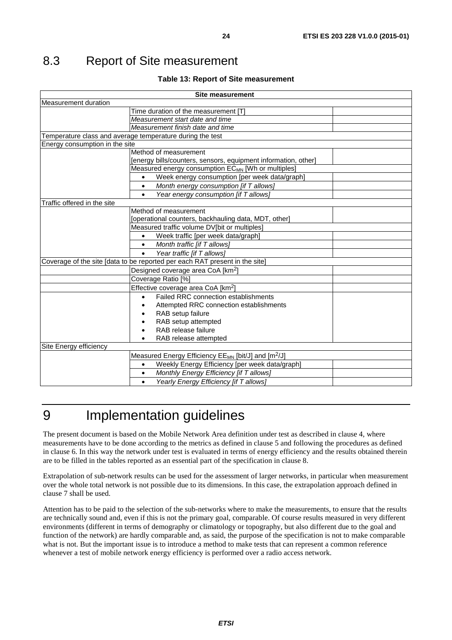## <span id="page-23-0"></span>8.3 Report of Site measurement

#### **Table 13: Report of Site measurement**

| <b>Site measurement</b>                                                     |  |  |
|-----------------------------------------------------------------------------|--|--|
| Measurement duration                                                        |  |  |
| Time duration of the measurement [T]                                        |  |  |
| Measurement start date and time                                             |  |  |
| Measurement finish date and time                                            |  |  |
| Temperature class and average temperature during the test                   |  |  |
| Energy consumption in the site                                              |  |  |
| Method of measurement                                                       |  |  |
| [energy bills/counters, sensors, equipment information, other]              |  |  |
| Measured energy consumption ECMN [Wh or multiples]                          |  |  |
| Week energy consumption [per week data/graph]                               |  |  |
| Month energy consumption [if T allows]<br>$\bullet$                         |  |  |
| Year energy consumption [if T allows]<br>$\bullet$                          |  |  |
| Traffic offered in the site                                                 |  |  |
| Method of measurement                                                       |  |  |
| [operational counters, backhauling data, MDT, other]                        |  |  |
| Measured traffic volume DV[bit or multiples]                                |  |  |
| Week traffic [per week data/graph]<br>$\bullet$                             |  |  |
| Month traffic [if T allows]                                                 |  |  |
| Year traffic [if T allows]                                                  |  |  |
| Coverage of the site [data to be reported per each RAT present in the site] |  |  |
| Designed coverage area CoA [km <sup>2</sup> ]                               |  |  |
| Coverage Ratio [%]                                                          |  |  |
| Effective coverage area CoA [km <sup>2</sup> ]                              |  |  |
| Failed RRC connection establishments                                        |  |  |
| Attempted RRC connection establishments                                     |  |  |
| RAB setup failure                                                           |  |  |
| RAB setup attempted                                                         |  |  |
| RAB release failure                                                         |  |  |
| RAB release attempted                                                       |  |  |
| Site Energy efficiency                                                      |  |  |
| Measured Energy Efficiency EE <sub>MN</sub> [bit/J] and [m <sup>2</sup> /J] |  |  |
| Weekly Energy Efficiency [per week data/graph]<br>$\bullet$                 |  |  |
| Monthly Energy Efficiency [if T allows]                                     |  |  |
| Yearly Energy Efficiency [if T allows]<br>$\bullet$                         |  |  |

## 9 Implementation guidelines

The present document is based on the Mobile Network Area definition under test as described in clause 4, where measurements have to be done according to the metrics as defined in clause 5 and following the procedures as defined in clause 6. In this way the network under test is evaluated in terms of energy efficiency and the results obtained therein are to be filled in the tables reported as an essential part of the specification in clause 8.

Extrapolation of sub-network results can be used for the assessment of larger networks, in particular when measurement over the whole total network is not possible due to its dimensions. In this case, the extrapolation approach defined in clause 7 shall be used.

Attention has to be paid to the selection of the sub-networks where to make the measurements, to ensure that the results are technically sound and, even if this is not the primary goal, comparable. Of course results measured in very different environments (different in terms of demography or climatology or topography, but also different due to the goal and function of the network) are hardly comparable and, as said, the purpose of the specification is not to make comparable what is not. But the important issue is to introduce a method to make tests that can represent a common reference whenever a test of mobile network energy efficiency is performed over a radio access network.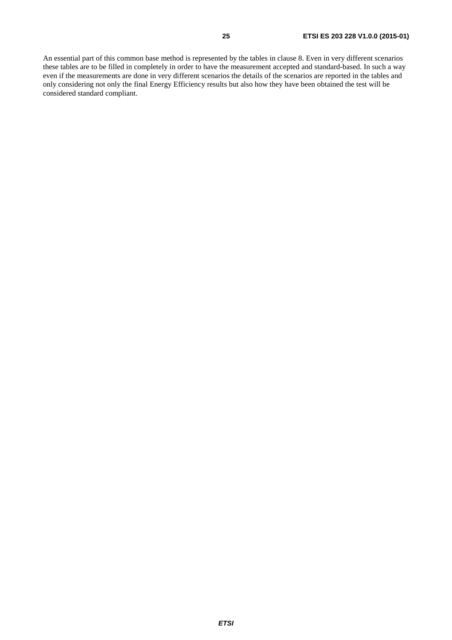An essential part of this common base method is represented by the tables in clause 8. Even in very different scenarios these tables are to be filled in completely in order to have the measurement accepted and standard-based. In such a way even if the measurements are done in very different scenarios the details of the scenarios are reported in the tables and only considering not only the final Energy Efficiency results but also how they have been obtained the test will be considered standard compliant.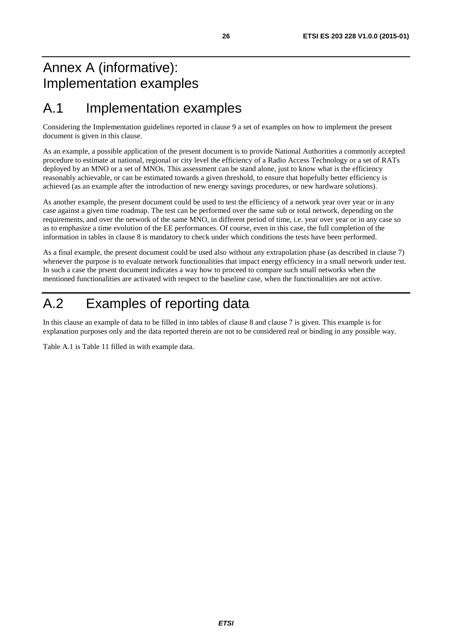## <span id="page-25-0"></span>Annex A (informative): Implementation examples

### A.1 Implementation examples

Considering the Implementation guidelines reported in clause 9 a set of examples on how to implement the present document is given in this clause.

As an example, a possible application of the present document is to provide National Authorities a commonly accepted procedure to estimate at national, regional or city level the efficiency of a Radio Access Technology or a set of RATs deployed by an MNO or a set of MNOs. This assessment can be stand alone, just to know what is the efficiency reasonably achievable, or can be estimated towards a given threshold, to ensure that hopefully better efficiency is achieved (as an example after the introduction of new energy savings procedures, or new hardware solutions).

As another example, the present document could be used to test the efficiency of a network year over year or in any case against a given time roadmap. The test can be performed over the same sub or total network, depending on the requirements, and over the network of the same MNO, in different period of time, i.e. year over year or in any case so as to emphasize a time evolution of the EE performances. Of course, even in this case, the full completion of the information in tables in clause 8 is mandatory to check under which conditions the tests have been performed.

As a final example, the present document could be used also without any extrapolation phase (as described in clause 7) whenever the purpose is to evaluate network functionalities that impact energy efficiency in a small network under test. In such a case the prsent document indicates a way how to proceed to compare such small networks when the mentioned functionalities are activated with respect to the baseline case, when the functionalities are not active.

## A.2 Examples of reporting data

In this clause an example of data to be filled in into tables of clause 8 and clause 7 is given. This example is for explanation purposes only and the data reported therein are not to be considered real or binding in any possible way.

Table A.1 is [Table 11](#page-21-0) filled in with example data.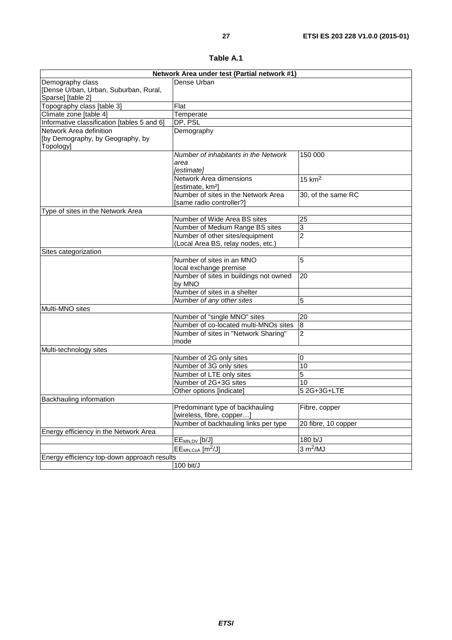| Table A.1 |  |
|-----------|--|
|-----------|--|

| Network Area under test (Partial network #1) |                                                         |                      |  |
|----------------------------------------------|---------------------------------------------------------|----------------------|--|
| Demography class                             | Dense Urban                                             |                      |  |
| [Dense Urban, Urban, Suburban, Rural,        |                                                         |                      |  |
| Sparse] [table 2]                            |                                                         |                      |  |
| Topography class [table 3]                   | Flat                                                    |                      |  |
| Climate zone [table 4]                       | Temperate                                               |                      |  |
| Informative classification [tables 5 and 6]  | DP, PSL                                                 |                      |  |
| Network Area definition                      | Demography                                              |                      |  |
| [by Demography, by Geography, by             |                                                         |                      |  |
| Topology]                                    |                                                         |                      |  |
|                                              | Number of inhabitants in the Network                    | 150 000              |  |
|                                              | area                                                    |                      |  |
|                                              | [estimate]                                              |                      |  |
|                                              | Network Area dimensions<br>[estimate, km <sup>2</sup> ] | 15 $km2$             |  |
|                                              | Number of sites in the Network Area                     | 30, of the same RC   |  |
|                                              | [same radio controller?]                                |                      |  |
| Type of sites in the Network Area            |                                                         |                      |  |
|                                              | Number of Wide Area BS sites                            | 25                   |  |
|                                              | Number of Medium Range BS sites                         | 3                    |  |
|                                              | Number of other sites/equipment                         | $\overline{2}$       |  |
|                                              | (Local Area BS, relay nodes, etc.)                      |                      |  |
| Sites categorization                         |                                                         |                      |  |
|                                              | Number of sites in an MNO                               | 5                    |  |
|                                              | local exchange premise                                  |                      |  |
|                                              | Number of sites in buildings not owned<br>by MNO        | 20                   |  |
|                                              | Number of sites in a shelter                            |                      |  |
|                                              | Number of any other sites                               | 5                    |  |
| Multi-MNO sites                              |                                                         |                      |  |
|                                              | Number of "single MNO" sites                            | 20                   |  |
|                                              | Number of co-located multi-MNOs sites                   | $\boldsymbol{8}$     |  |
|                                              | Number of sites in "Network Sharing"                    | $\overline{c}$       |  |
|                                              | mode                                                    |                      |  |
| Multi-technology sites                       |                                                         |                      |  |
|                                              | Number of 2G only sites                                 | 0                    |  |
|                                              | Number of 3G only sites                                 | 10                   |  |
|                                              | Number of LTE only sites                                | 5                    |  |
|                                              | Number of 2G+3G sites                                   | 10                   |  |
|                                              | Other options [indicate]                                | 5 2 G + 3 G + LTE    |  |
| Backhauling information                      |                                                         |                      |  |
|                                              | Predominant type of backhauling                         | Fibre, copper        |  |
|                                              | [wireless, fibre, copper]                               |                      |  |
|                                              | Number of backhauling links per type                    | 20 fibre, 10 copper  |  |
| Energy efficiency in the Network Area        |                                                         |                      |  |
|                                              | EE <sub>MN,DV</sub> [b/J]                               | 180 b/J              |  |
|                                              | $EE_{MN,CoA}$ [m <sup>2</sup> /J]                       | 3 m <sup>2</sup> /MJ |  |
| Energy efficiency top-down approach results  |                                                         |                      |  |
|                                              | 100 bit/J                                               |                      |  |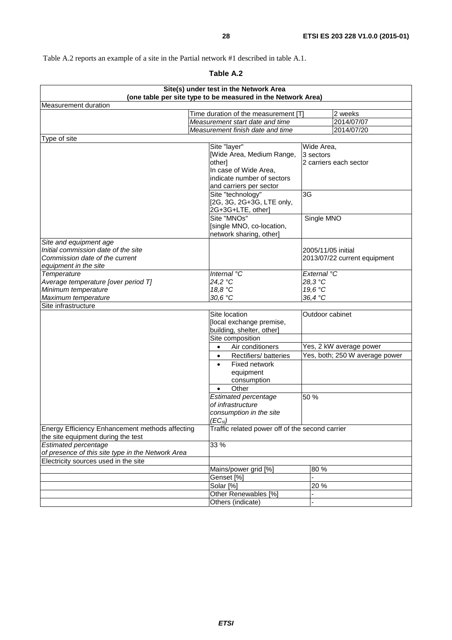Table A.2 reports an example of a site in the Partial network #1 described in table A.1.

| Table |  |
|-------|--|
|-------|--|

| Site(s) under test in the Network Area<br>(one table per site type to be measured in the Network Area) |                                                 |                                |  |
|--------------------------------------------------------------------------------------------------------|-------------------------------------------------|--------------------------------|--|
|                                                                                                        |                                                 |                                |  |
| Measurement duration                                                                                   |                                                 |                                |  |
|                                                                                                        | Time duration of the measurement [T]            | 2 weeks                        |  |
|                                                                                                        | Measurement start date and time                 | 2014/07/07                     |  |
|                                                                                                        | Measurement finish date and time                | 2014/07/20                     |  |
| Type of site                                                                                           |                                                 |                                |  |
|                                                                                                        | Site "layer"                                    | Wide Area,                     |  |
|                                                                                                        | Wide Area, Medium Range,                        | 3 sectors                      |  |
|                                                                                                        | other]                                          | 2 carriers each sector         |  |
|                                                                                                        | In case of Wide Area,                           |                                |  |
|                                                                                                        | indicate number of sectors                      |                                |  |
|                                                                                                        | and carriers per sector                         |                                |  |
|                                                                                                        | Site "technology"                               | 3G                             |  |
|                                                                                                        | [2G, 3G, 2G+3G, LTE only,                       |                                |  |
|                                                                                                        | 2G+3G+LTE, other]<br>Site "MNOs"                |                                |  |
|                                                                                                        |                                                 | Single MNO                     |  |
|                                                                                                        | [single MNO, co-location,                       |                                |  |
| Site and equipment age                                                                                 | network sharing, other]                         |                                |  |
| Initial commission date of the site                                                                    |                                                 | 2005/11/05 initial             |  |
| Commission date of the current                                                                         |                                                 |                                |  |
| equipment in the site                                                                                  |                                                 | 2013/07/22 current equipment   |  |
| Temperature                                                                                            | Internal °C                                     | External °C                    |  |
| Average temperature [over period T]                                                                    | 24,2 °C                                         | 28.3 °C                        |  |
| Minimum temperature                                                                                    | 18,8 °C                                         | 19,6 °C                        |  |
| Maximum temperature                                                                                    | 30,6 °C                                         | 36,4 °C                        |  |
| Site infrastructure                                                                                    |                                                 |                                |  |
|                                                                                                        | Site location                                   | Outdoor cabinet                |  |
|                                                                                                        | [local exchange premise,                        |                                |  |
|                                                                                                        | building, shelter, other]                       |                                |  |
|                                                                                                        | Site composition                                |                                |  |
|                                                                                                        | $\bullet$                                       | Yes, 2 kW average power        |  |
|                                                                                                        | Air conditioners                                |                                |  |
|                                                                                                        | Rectifiers/batteries<br>$\bullet$               | Yes, both; 250 W average power |  |
|                                                                                                        | Fixed network<br>$\bullet$                      |                                |  |
|                                                                                                        | equipment                                       |                                |  |
|                                                                                                        | consumption                                     |                                |  |
|                                                                                                        | Other                                           |                                |  |
|                                                                                                        | <b>Estimated percentage</b>                     | 50 %                           |  |
|                                                                                                        | of infrastructure                               |                                |  |
|                                                                                                        | consumption in the site                         |                                |  |
|                                                                                                        | $(EC_{si})$                                     |                                |  |
| Energy Efficiency Enhancement methods affecting<br>the site equipment during the test                  | Traffic related power off of the second carrier |                                |  |
| <b>Estimated percentage</b>                                                                            | 33 %                                            |                                |  |
| of presence of this site type in the Network Area                                                      |                                                 |                                |  |
| Electricity sources used in the site                                                                   |                                                 |                                |  |
|                                                                                                        | Mains/power grid [%]                            | 80 %                           |  |
|                                                                                                        | Genset [%]                                      |                                |  |
|                                                                                                        | Solar [%]                                       | 20%                            |  |
|                                                                                                        | Other Renewables [%]                            |                                |  |
|                                                                                                        | Others (indicate)                               |                                |  |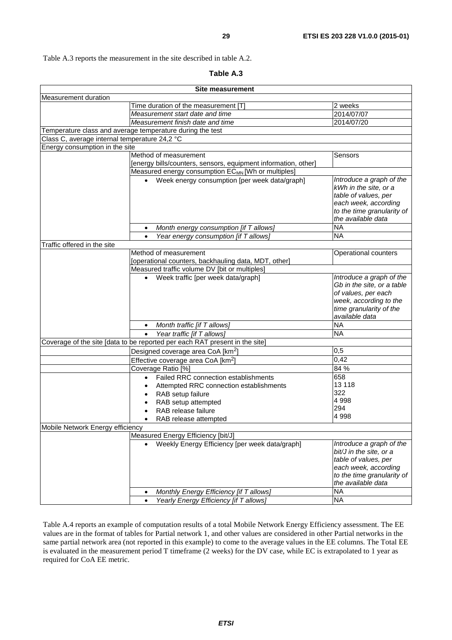Table A.3 reports the measurement in the site described in table A.2.

| Table A.3 |  |
|-----------|--|
|-----------|--|

| <b>Site measurement</b>                       |                                                                                           |                                                                                                                                                                      |  |
|-----------------------------------------------|-------------------------------------------------------------------------------------------|----------------------------------------------------------------------------------------------------------------------------------------------------------------------|--|
| Measurement duration                          |                                                                                           |                                                                                                                                                                      |  |
|                                               | Time duration of the measurement [T]                                                      | 2 weeks                                                                                                                                                              |  |
|                                               | Measurement start date and time                                                           | 2014/07/07                                                                                                                                                           |  |
|                                               | Measurement finish date and time                                                          | 2014/07/20                                                                                                                                                           |  |
|                                               | Temperature class and average temperature during the test                                 |                                                                                                                                                                      |  |
| Class C, average internal temperature 24,2 °C |                                                                                           |                                                                                                                                                                      |  |
| Energy consumption in the site                |                                                                                           |                                                                                                                                                                      |  |
|                                               | Method of measurement                                                                     | Sensors                                                                                                                                                              |  |
|                                               | [energy bills/counters, sensors, equipment information, other]                            |                                                                                                                                                                      |  |
|                                               | Measured energy consumption EC <sub>MN</sub> [Wh or multiples]                            |                                                                                                                                                                      |  |
|                                               | • Week energy consumption [per week data/graph]                                           | Introduce a graph of the<br>kWh in the site, or a<br>table of values, per<br>each week, according<br>to the time granularity of<br>the available data                |  |
|                                               | Month energy consumption [if T allows]                                                    | <b>NA</b>                                                                                                                                                            |  |
|                                               | Year energy consumption [if T allows]                                                     | <b>NA</b>                                                                                                                                                            |  |
| Traffic offered in the site                   |                                                                                           |                                                                                                                                                                      |  |
|                                               | Method of measurement                                                                     | Operational counters                                                                                                                                                 |  |
|                                               | [operational counters, backhauling data, MDT, other]                                      |                                                                                                                                                                      |  |
|                                               | Measured traffic volume DV [bit or multiples]                                             |                                                                                                                                                                      |  |
|                                               | Week traffic [per week data/graph]                                                        | Introduce a graph of the<br>Gb in the site, or a table<br>of values, per each<br>week, according to the<br>time granularity of the<br>available data                 |  |
|                                               | Month traffic [if T allows]<br>$\bullet$                                                  | <b>NA</b>                                                                                                                                                            |  |
|                                               | Year traffic [if T allows]                                                                | $\overline{NA}$                                                                                                                                                      |  |
|                                               | Coverage of the site [data to be reported per each RAT present in the site]               |                                                                                                                                                                      |  |
|                                               | Designed coverage area CoA [km <sup>2</sup> ]                                             | 0,5                                                                                                                                                                  |  |
|                                               | Effective coverage area CoA [km <sup>2</sup> ]                                            | 0,42                                                                                                                                                                 |  |
|                                               | Coverage Ratio [%]                                                                        | 84 %                                                                                                                                                                 |  |
|                                               | Failed RRC connection establishments<br>$\bullet$                                         | 658                                                                                                                                                                  |  |
|                                               | Attempted RRC connection establishments<br>$\bullet$                                      | 13 118                                                                                                                                                               |  |
|                                               | RAB setup failure<br>$\bullet$                                                            | 322                                                                                                                                                                  |  |
|                                               | RAB setup attempted                                                                       | 4 9 9 8                                                                                                                                                              |  |
|                                               | RAB release failure                                                                       | 294                                                                                                                                                                  |  |
|                                               | RAB release attempted                                                                     | 4998                                                                                                                                                                 |  |
| Mobile Network Energy efficiency              |                                                                                           |                                                                                                                                                                      |  |
| Measured Energy Efficiency [bit/J]            |                                                                                           |                                                                                                                                                                      |  |
|                                               | Weekly Energy Efficiency [per week data/graph]<br>Monthly Energy Efficiency [if T allows] | Introduce a graph of the<br>bit/J in the site, or a<br>table of values, per<br>each week, according<br>to the time granularity of<br>the available data<br><b>NA</b> |  |
|                                               |                                                                                           | <b>NA</b>                                                                                                                                                            |  |
|                                               | Yearly Energy Efficiency [if T allows]                                                    |                                                                                                                                                                      |  |

Table A.4 reports an example of computation results of a total Mobile Network Energy Efficiency assessment. The EE values are in the format of tables for Partial network 1, and other values are considered in other Partial networks in the same partial network area (not reported in this example) to come to the average values in the EE columns. The Total EE is evaluated in the measurement period T timeframe (2 weeks) for the DV case, while EC is extrapolated to 1 year as required for CoA EE metric.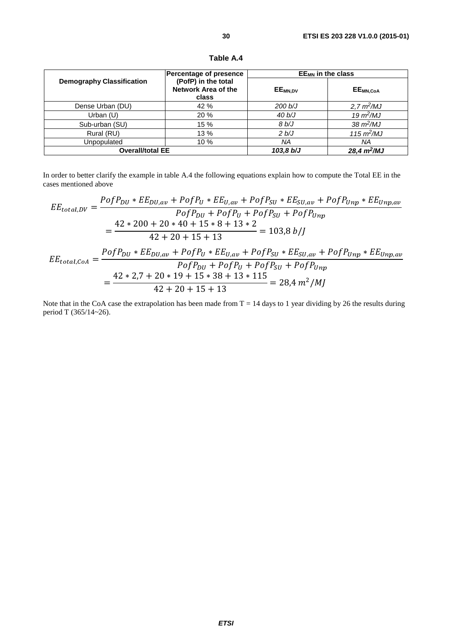| <b>Demography Classification</b> | <b>Percentage of presence</b><br>(PofP) in the total<br><b>Network Area of the</b><br>class | $EE_{MN}$ in the class |                             |
|----------------------------------|---------------------------------------------------------------------------------------------|------------------------|-----------------------------|
|                                  |                                                                                             | EE <sub>MN,DV</sub>    | EE <sub>MN,CoA</sub>        |
| Dense Urban (DU)                 | 42 %                                                                                        | 200 b/J                | 2,7 m <sup>2</sup> /MJ      |
| Urban $(U)$                      | 20 %                                                                                        | 40 b/J                 | $19 \text{ m}^2/\text{MJ}$  |
| Sub-urban (SU)                   | 15 %                                                                                        | 8 b/J                  | $38 \text{ m}^2/\text{MJ}$  |
| Rural (RU)                       | 13 %                                                                                        | 2 b/J                  | $115 \text{ m}^2/\text{MJ}$ |
| Unpopulated                      | 10%                                                                                         | ΝA                     | ΝA                          |
| <b>Overall/total EE</b>          |                                                                                             | 103.8 b/J              | 28,4 m <sup>2</sup> /MJ     |

**Table A.4** 

In order to better clarify the example in table A.4 the following equations explain how to compute the Total EE in the cases mentioned above

$$
EE_{total,DV} = \frac{PofP_{DU} * EE_{DU,av} + PofP_U * EE_{U,av} + PofP_{SU} * EE_{SU,av} + PofP_{Unp} * EE_{Unp,av}}{PofP_{DU} + PofP_U + PofP_{SU} + PofP_{Unp}}
$$
  
= 
$$
\frac{42 * 200 + 20 * 40 + 15 * 8 + 13 * 2}{42 + 20 + 15 + 13} = 103,8 b/J
$$
  

$$
EE_{total,CoA} = \frac{PofP_{DU} * EE_{DU,av} + PofP_U * EE_{U,av} + PofP_{SU} * EE_{SU,av} + PofP_{Unp} * EE_{Unp,av}}{PofP_{DU} + PofP_U + PofP_{SU} + PofP_{Unp}}
$$
  
= 
$$
\frac{42 * 2,7 + 20 * 19 + 15 * 38 + 13 * 115}{42 + 20 + 15 + 13} = 28,4 m^2/MJ
$$

Note that in the CoA case the extrapolation has been made from  $T = 14$  days to 1 year dividing by 26 the results during period T (365/14~26).